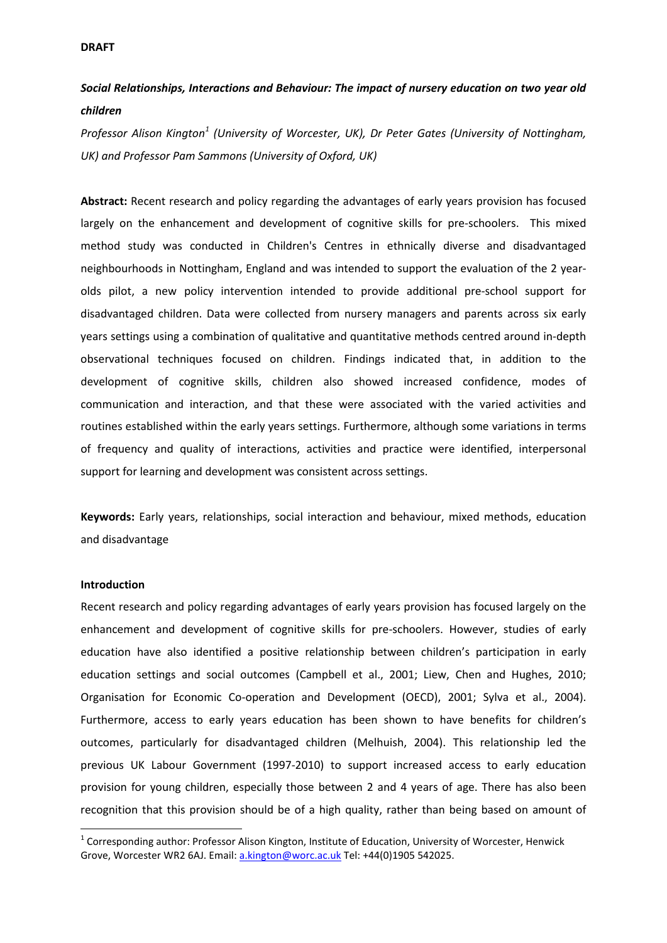# *Social Relationships, Interactions and Behaviour: The impact of nursery education on two year old children*

*Professor Alison Kington[1](#page-0-0) (University of Worcester, UK), Dr Peter Gates (University of Nottingham, UK) and Professor Pam Sammons (University of Oxford, UK)*

**Abstract:** Recent research and policy regarding the advantages of early years provision has focused largely on the enhancement and development of cognitive skills for pre-schoolers. This mixed method study was conducted in Children's Centres in ethnically diverse and disadvantaged neighbourhoods in Nottingham, England and was intended to support the evaluation of the 2 yearolds pilot, a new policy intervention intended to provide additional pre-school support for disadvantaged children. Data were collected from nursery managers and parents across six early years settings using a combination of qualitative and quantitative methods centred around in-depth observational techniques focused on children. Findings indicated that, in addition to the development of cognitive skills, children also showed increased confidence, modes of communication and interaction, and that these were associated with the varied activities and routines established within the early years settings. Furthermore, although some variations in terms of frequency and quality of interactions, activities and practice were identified, interpersonal support for learning and development was consistent across settings.

**Keywords:** Early years, relationships, social interaction and behaviour, mixed methods, education and disadvantage

# **Introduction**

 $\overline{a}$ 

Recent research and policy regarding advantages of early years provision has focused largely on the enhancement and development of cognitive skills for pre-schoolers. However, studies of early education have also identified a positive relationship between children's participation in early education settings and social outcomes (Campbell et al., 2001; Liew, Chen and Hughes, 2010; Organisation for Economic Co-operation and Development (OECD), 2001; Sylva et al., 2004). Furthermore, access to early years education has been shown to have benefits for children's outcomes, particularly for disadvantaged children (Melhuish, 2004). This relationship led the previous UK Labour Government (1997-2010) to support increased access to early education provision for young children, especially those between 2 and 4 years of age. There has also been recognition that this provision should be of a high quality, rather than being based on amount of

<span id="page-0-0"></span> $1$  Corresponding author: Professor Alison Kington, Institute of Education, University of Worcester, Henwick Grove, Worcester WR2 6AJ. Email: [a.kington@worc.ac.uk](mailto:a.kington@worc.ac.uk) Tel: +44(0)1905 542025.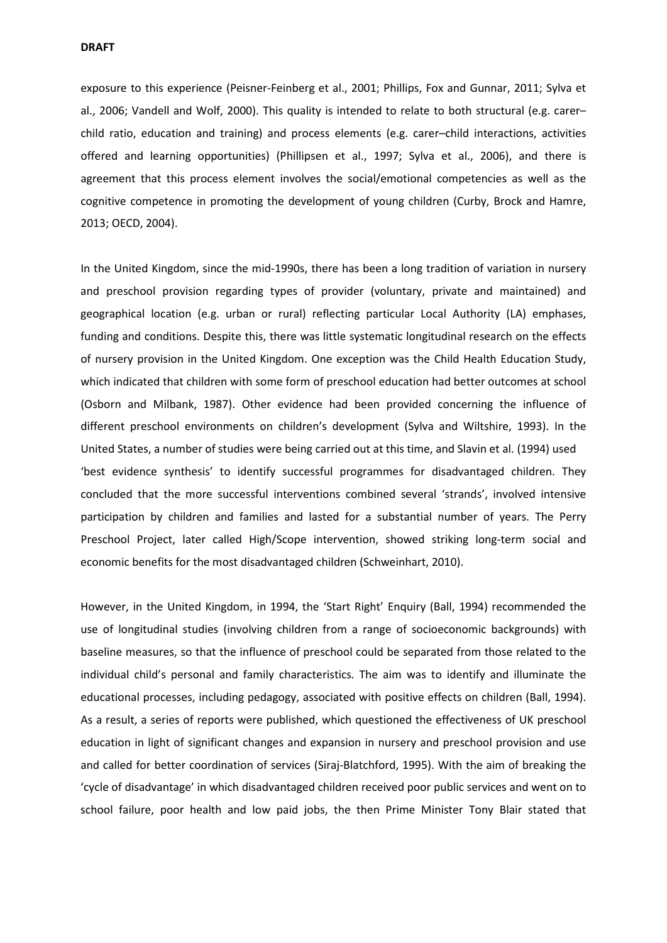exposure to this experience (Peisner-Feinberg et al., 2001; Phillips, Fox and Gunnar, 2011; Sylva et al., 2006; Vandell and Wolf, 2000). This quality is intended to relate to both structural (e.g. carer– child ratio, education and training) and process elements (e.g. carer–child interactions, activities offered and learning opportunities) (Phillipsen et al., 1997; Sylva et al., 2006), and there is agreement that this process element involves the social/emotional competencies as well as the cognitive competence in promoting the development of young children (Curby, Brock and Hamre, 2013; OECD, 2004).

In the United Kingdom, since the mid-1990s, there has been a long tradition of variation in nursery and preschool provision regarding types of provider (voluntary, private and maintained) and geographical location (e.g. urban or rural) reflecting particular Local Authority (LA) emphases, funding and conditions. Despite this, there was little systematic longitudinal research on the effects of nursery provision in the United Kingdom. One exception was the Child Health Education Study, which indicated that children with some form of preschool education had better outcomes at school (Osborn and Milbank, 1987). Other evidence had been provided concerning the influence of different preschool environments on children's development (Sylva and Wiltshire, 1993). In the United States, a number of studies were being carried out at this time, and Slavin et al. (1994) used 'best evidence synthesis' to identify successful programmes for disadvantaged children. They concluded that the more successful interventions combined several 'strands', involved intensive participation by children and families and lasted for a substantial number of years. The Perry Preschool Project, later called High/Scope intervention, showed striking long-term social and economic benefits for the most disadvantaged children (Schweinhart, 2010).

However, in the United Kingdom, in 1994, the 'Start Right' Enquiry (Ball, 1994) recommended the use of longitudinal studies (involving children from a range of socioeconomic backgrounds) with baseline measures, so that the influence of preschool could be separated from those related to the individual child's personal and family characteristics. The aim was to identify and illuminate the educational processes, including pedagogy, associated with positive effects on children (Ball, 1994). As a result, a series of reports were published, which questioned the effectiveness of UK preschool education in light of significant changes and expansion in nursery and preschool provision and use and called for better coordination of services (Siraj-Blatchford, 1995). With the aim of breaking the 'cycle of disadvantage' in which disadvantaged children received poor public services and went on to school failure, poor health and low paid jobs, the then Prime Minister Tony Blair stated that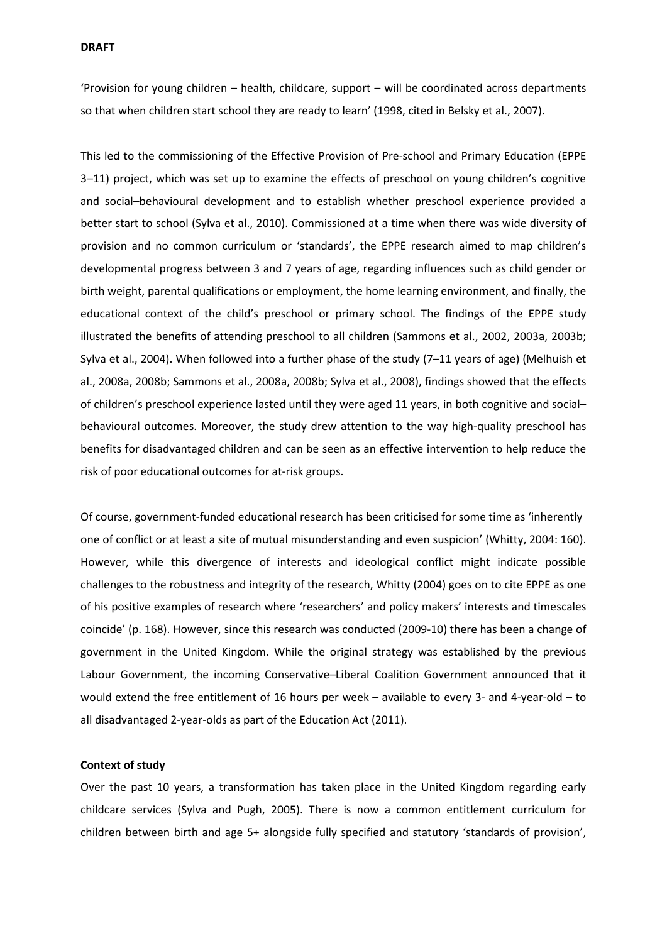'Provision for young children – health, childcare, support – will be coordinated across departments so that when children start school they are ready to learn' (1998, cited in Belsky et al., 2007).

This led to the commissioning of the Effective Provision of Pre-school and Primary Education (EPPE 3–11) project, which was set up to examine the effects of preschool on young children's cognitive and social–behavioural development and to establish whether preschool experience provided a better start to school (Sylva et al., 2010). Commissioned at a time when there was wide diversity of provision and no common curriculum or 'standards', the EPPE research aimed to map children's developmental progress between 3 and 7 years of age, regarding influences such as child gender or birth weight, parental qualifications or employment, the home learning environment, and finally, the educational context of the child's preschool or primary school. The findings of the EPPE study illustrated the benefits of attending preschool to all children (Sammons et al., 2002, 2003a, 2003b; Sylva et al., 2004). When followed into a further phase of the study (7–11 years of age) (Melhuish et al., 2008a, 2008b; Sammons et al., 2008a, 2008b; Sylva et al., 2008), findings showed that the effects of children's preschool experience lasted until they were aged 11 years, in both cognitive and social– behavioural outcomes. Moreover, the study drew attention to the way high-quality preschool has benefits for disadvantaged children and can be seen as an effective intervention to help reduce the risk of poor educational outcomes for at-risk groups.

Of course, government-funded educational research has been criticised for some time as 'inherently one of conflict or at least a site of mutual misunderstanding and even suspicion' (Whitty, 2004: 160). However, while this divergence of interests and ideological conflict might indicate possible challenges to the robustness and integrity of the research, Whitty (2004) goes on to cite EPPE as one of his positive examples of research where 'researchers' and policy makers' interests and timescales coincide' (p. 168). However, since this research was conducted (2009-10) there has been a change of government in the United Kingdom. While the original strategy was established by the previous Labour Government, the incoming Conservative–Liberal Coalition Government announced that it would extend the free entitlement of 16 hours per week – available to every 3- and 4-year-old – to all disadvantaged 2-year-olds as part of the Education Act (2011).

# **Context of study**

Over the past 10 years, a transformation has taken place in the United Kingdom regarding early childcare services (Sylva and Pugh, 2005). There is now a common entitlement curriculum for children between birth and age 5+ alongside fully specified and statutory 'standards of provision',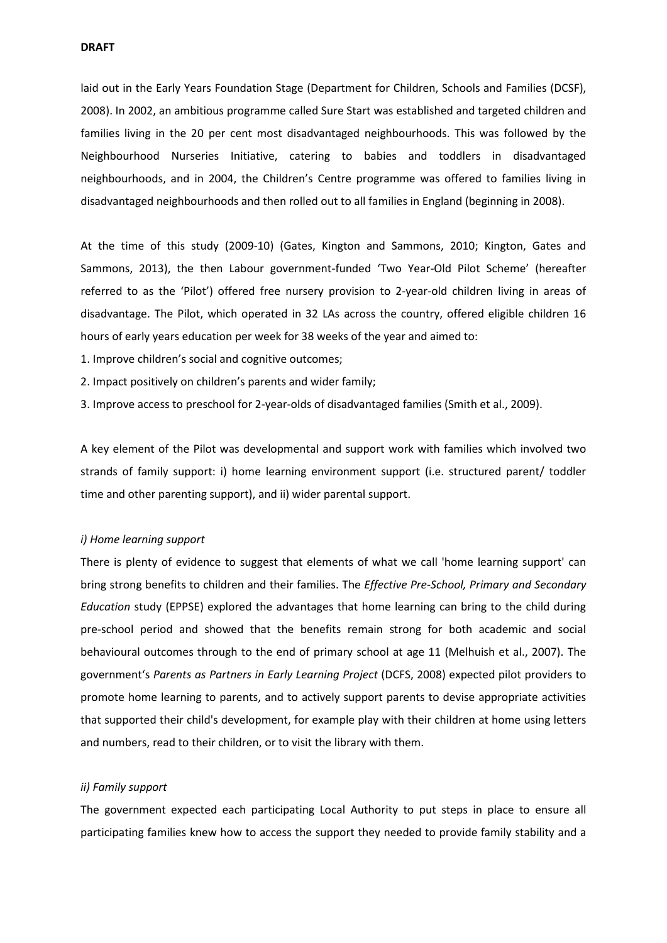laid out in the Early Years Foundation Stage (Department for Children, Schools and Families (DCSF), 2008). In 2002, an ambitious programme called Sure Start was established and targeted children and families living in the 20 per cent most disadvantaged neighbourhoods. This was followed by the Neighbourhood Nurseries Initiative, catering to babies and toddlers in disadvantaged neighbourhoods, and in 2004, the Children's Centre programme was offered to families living in disadvantaged neighbourhoods and then rolled out to all families in England (beginning in 2008).

At the time of this study (2009-10) (Gates, Kington and Sammons, 2010; Kington, Gates and Sammons, 2013), the then Labour government-funded 'Two Year-Old Pilot Scheme' (hereafter referred to as the 'Pilot') offered free nursery provision to 2-year-old children living in areas of disadvantage. The Pilot, which operated in 32 LAs across the country, offered eligible children 16 hours of early years education per week for 38 weeks of the year and aimed to:

1. Improve children's social and cognitive outcomes;

2. Impact positively on children's parents and wider family;

3. Improve access to preschool for 2-year-olds of disadvantaged families (Smith et al., 2009).

A key element of the Pilot was developmental and support work with families which involved two strands of family support: i) home learning environment support (i.e. structured parent/ toddler time and other parenting support), and ii) wider parental support.

#### *i) Home learning support*

There is plenty of evidence to suggest that elements of what we call 'home learning support' can bring strong benefits to children and their families. The *Effective Pre-School, Primary and Secondary Education* study (EPPSE) explored the advantages that home learning can bring to the child during pre-school period and showed that the benefits remain strong for both academic and social behavioural outcomes through to the end of primary school at age 11 (Melhuish et al., 2007). The government's *Parents as Partners in Early Learning Project* (DCFS, 2008) expected pilot providers to promote home learning to parents, and to actively support parents to devise appropriate activities that supported their child's development, for example play with their children at home using letters and numbers, read to their children, or to visit the library with them.

# *ii) Family support*

The government expected each participating Local Authority to put steps in place to ensure all participating families knew how to access the support they needed to provide family stability and a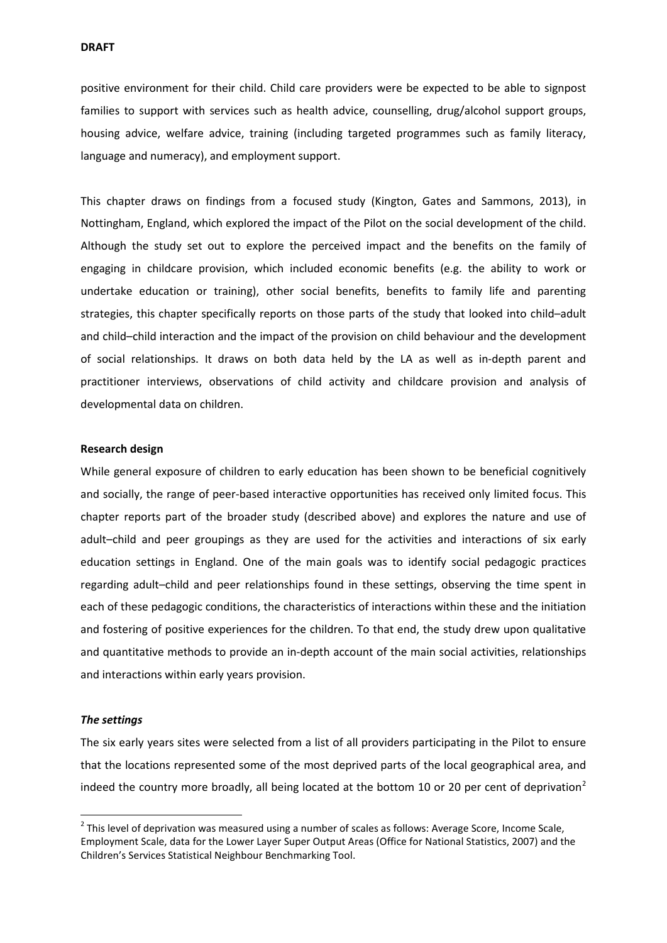positive environment for their child. Child care providers were be expected to be able to signpost families to support with services such as health advice, counselling, drug/alcohol support groups, housing advice, welfare advice, training (including targeted programmes such as family literacy, language and numeracy), and employment support.

This chapter draws on findings from a focused study (Kington, Gates and Sammons, 2013), in Nottingham, England, which explored the impact of the Pilot on the social development of the child. Although the study set out to explore the perceived impact and the benefits on the family of engaging in childcare provision, which included economic benefits (e.g. the ability to work or undertake education or training), other social benefits, benefits to family life and parenting strategies, this chapter specifically reports on those parts of the study that looked into child–adult and child–child interaction and the impact of the provision on child behaviour and the development of social relationships. It draws on both data held by the LA as well as in-depth parent and practitioner interviews, observations of child activity and childcare provision and analysis of developmental data on children.

# **Research design**

While general exposure of children to early education has been shown to be beneficial cognitively and socially, the range of peer-based interactive opportunities has received only limited focus. This chapter reports part of the broader study (described above) and explores the nature and use of adult–child and peer groupings as they are used for the activities and interactions of six early education settings in England. One of the main goals was to identify social pedagogic practices regarding adult–child and peer relationships found in these settings, observing the time spent in each of these pedagogic conditions, the characteristics of interactions within these and the initiation and fostering of positive experiences for the children. To that end, the study drew upon qualitative and quantitative methods to provide an in-depth account of the main social activities, relationships and interactions within early years provision.

# *The settings*

 $\overline{a}$ 

The six early years sites were selected from a list of all providers participating in the Pilot to ensure that the locations represented some of the most deprived parts of the local geographical area, and indeed the country more broadly, all being located at the bottom 10 or [2](#page-4-0)0 per cent of deprivation<sup>2</sup>

<span id="page-4-0"></span> $2$  This level of deprivation was measured using a number of scales as follows: Average Score, Income Scale, Employment Scale, data for the Lower Layer Super Output Areas (Office for National Statistics, 2007) and the Children's Services Statistical Neighbour Benchmarking Tool.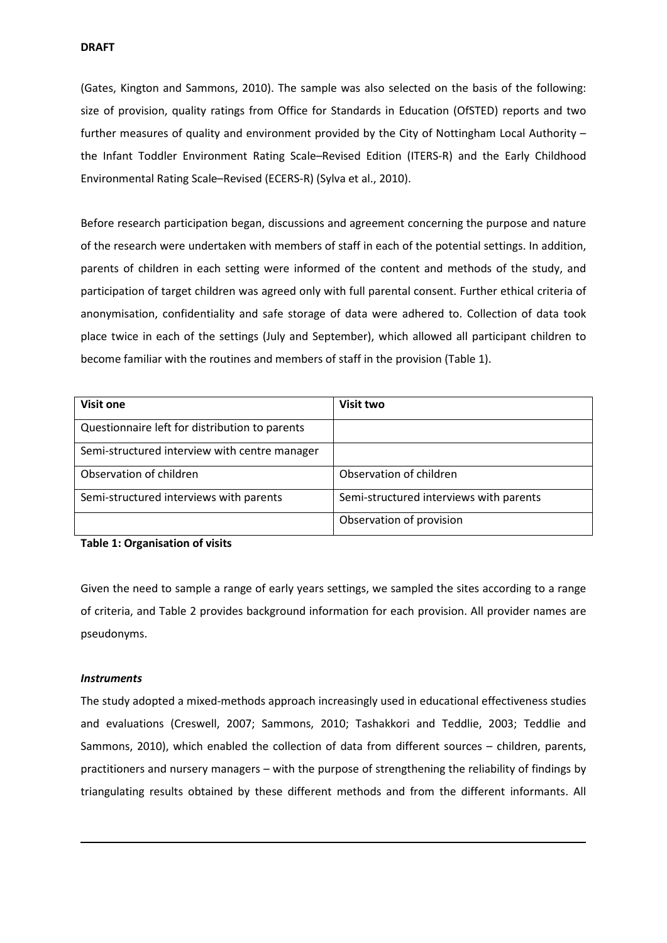(Gates, Kington and Sammons, 2010). The sample was also selected on the basis of the following: size of provision, quality ratings from Office for Standards in Education (OfSTED) reports and two further measures of quality and environment provided by the City of Nottingham Local Authority – the Infant Toddler Environment Rating Scale–Revised Edition (ITERS-R) and the Early Childhood Environmental Rating Scale–Revised (ECERS-R) (Sylva et al., 2010).

Before research participation began, discussions and agreement concerning the purpose and nature of the research were undertaken with members of staff in each of the potential settings. In addition, parents of children in each setting were informed of the content and methods of the study, and participation of target children was agreed only with full parental consent. Further ethical criteria of anonymisation, confidentiality and safe storage of data were adhered to. Collection of data took place twice in each of the settings (July and September), which allowed all participant children to become familiar with the routines and members of staff in the provision (Table 1).

| Visit one                                      | Visit two                               |
|------------------------------------------------|-----------------------------------------|
| Questionnaire left for distribution to parents |                                         |
| Semi-structured interview with centre manager  |                                         |
| Observation of children                        | Observation of children                 |
| Semi-structured interviews with parents        | Semi-structured interviews with parents |
|                                                | Observation of provision                |

**Table 1: Organisation of visits**

Given the need to sample a range of early years settings, we sampled the sites according to a range of criteria, and Table 2 provides background information for each provision. All provider names are pseudonyms.

# *Instruments*

 $\overline{a}$ 

The study adopted a mixed-methods approach increasingly used in educational effectiveness studies and evaluations (Creswell, 2007; Sammons, 2010; Tashakkori and Teddlie, 2003; Teddlie and Sammons, 2010), which enabled the collection of data from different sources – children, parents, practitioners and nursery managers – with the purpose of strengthening the reliability of findings by triangulating results obtained by these different methods and from the different informants. All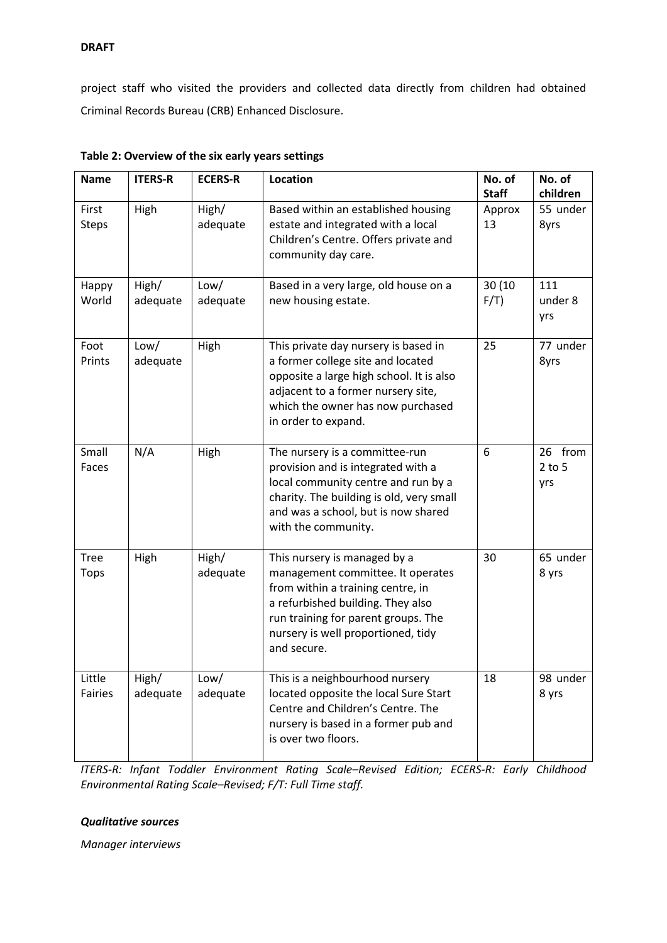project staff who visited the providers and collected data directly from children had obtained Criminal Records Bureau (CRB) Enhanced Disclosure.

| <b>Name</b>                | <b>ITERS-R</b>    | <b>ECERS-R</b>    | Location                                                                                                                                                                                                                                | No. of<br><b>Staff</b> | No. of<br>children         |
|----------------------------|-------------------|-------------------|-----------------------------------------------------------------------------------------------------------------------------------------------------------------------------------------------------------------------------------------|------------------------|----------------------------|
| First<br><b>Steps</b>      | High              | High/<br>adequate | Based within an established housing<br>estate and integrated with a local<br>Children's Centre. Offers private and<br>community day care.                                                                                               | Approx<br>13           | 55 under<br>8yrs           |
| Happy<br>World             | High/<br>adequate | Low/<br>adequate  | Based in a very large, old house on a<br>new housing estate.                                                                                                                                                                            | 30 (10<br>$F/T$ )      | 111<br>under 8<br>yrs      |
| Foot<br>Prints             | Low/<br>adequate  | High              | This private day nursery is based in<br>a former college site and located<br>opposite a large high school. It is also<br>adjacent to a former nursery site,<br>which the owner has now purchased<br>in order to expand.                 | 25                     | 77 under<br>8yrs           |
| Small<br>Faces             | N/A               | High              | The nursery is a committee-run<br>provision and is integrated with a<br>local community centre and run by a<br>charity. The building is old, very small<br>and was a school, but is now shared<br>with the community.                   | 6                      | 26 from<br>$2$ to 5<br>yrs |
| <b>Tree</b><br><b>Tops</b> | High              | High/<br>adequate | This nursery is managed by a<br>management committee. It operates<br>from within a training centre, in<br>a refurbished building. They also<br>run training for parent groups. The<br>nursery is well proportioned, tidy<br>and secure. | 30                     | 65 under<br>8 yrs          |
| Little<br>Fairies          | High/<br>adequate | Low/<br>adequate  | This is a neighbourhood nursery<br>located opposite the local Sure Start<br>Centre and Children's Centre. The<br>nursery is based in a former pub and<br>is over two floors.                                                            | 18                     | 98 under<br>8 yrs          |

**Table 2: Overview of the six early years settings**

*ITERS-R: Infant Toddler Environment Rating Scale–Revised Edition; ECERS-R: Early Childhood Environmental Rating Scale–Revised; F/T: Full Time staff.*

# *Qualitative sources*

*Manager interviews*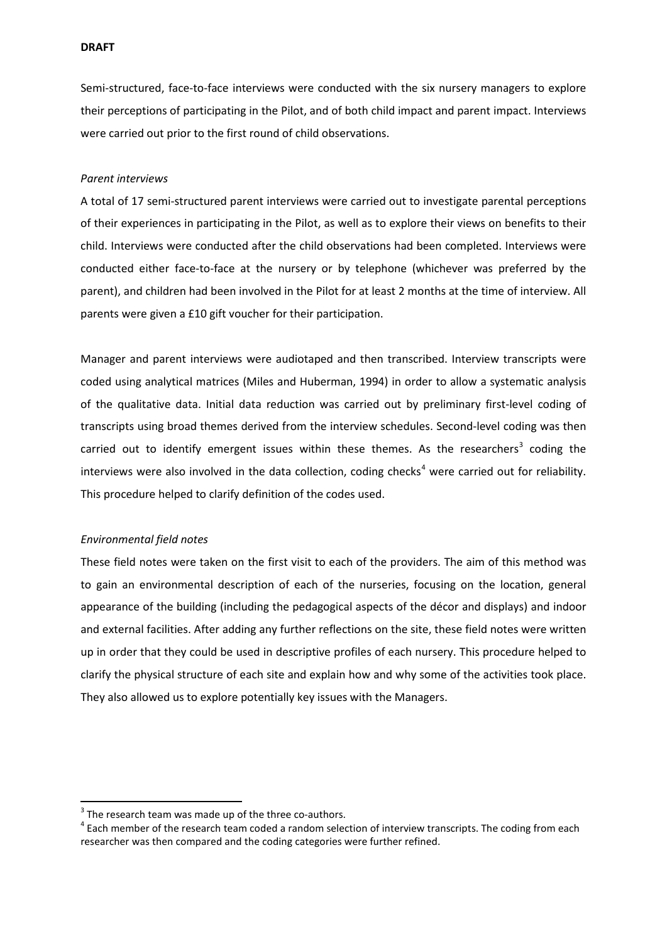Semi-structured, face-to-face interviews were conducted with the six nursery managers to explore their perceptions of participating in the Pilot, and of both child impact and parent impact. Interviews were carried out prior to the first round of child observations.

# *Parent interviews*

A total of 17 semi-structured parent interviews were carried out to investigate parental perceptions of their experiences in participating in the Pilot, as well as to explore their views on benefits to their child. Interviews were conducted after the child observations had been completed. Interviews were conducted either face-to-face at the nursery or by telephone (whichever was preferred by the parent), and children had been involved in the Pilot for at least 2 months at the time of interview. All parents were given a £10 gift voucher for their participation.

Manager and parent interviews were audiotaped and then transcribed. Interview transcripts were coded using analytical matrices (Miles and Huberman, 1994) in order to allow a systematic analysis of the qualitative data. Initial data reduction was carried out by preliminary first-level coding of transcripts using broad themes derived from the interview schedules. Second-level coding was then carried out to identify emergent issues within these themes. As the researchers<sup>[3](#page-7-0)</sup> coding the interviews were also involved in the data collection, coding checks<sup>[4](#page-7-1)</sup> were carried out for reliability. This procedure helped to clarify definition of the codes used.

# *Environmental field notes*

**.** 

These field notes were taken on the first visit to each of the providers. The aim of this method was to gain an environmental description of each of the nurseries, focusing on the location, general appearance of the building (including the pedagogical aspects of the décor and displays) and indoor and external facilities. After adding any further reflections on the site, these field notes were written up in order that they could be used in descriptive profiles of each nursery. This procedure helped to clarify the physical structure of each site and explain how and why some of the activities took place. They also allowed us to explore potentially key issues with the Managers.

<span id="page-7-1"></span><span id="page-7-0"></span> $3$  The research team was made up of the three co-authors.<br> $4$  Each member of the research team coded a random selection of interview transcripts. The coding from each researcher was then compared and the coding categories were further refined.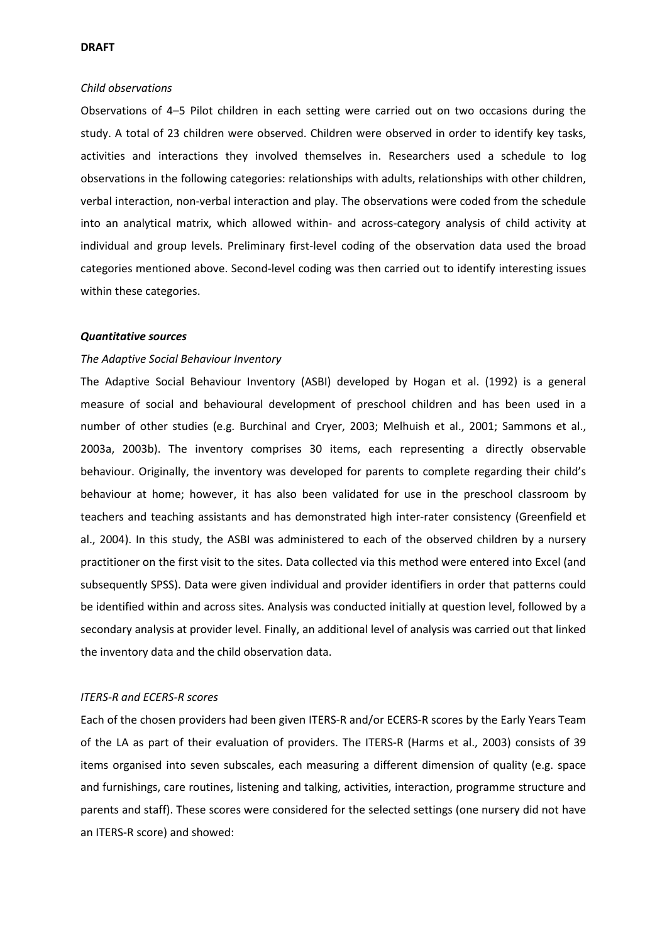#### *Child observations*

Observations of 4–5 Pilot children in each setting were carried out on two occasions during the study. A total of 23 children were observed. Children were observed in order to identify key tasks, activities and interactions they involved themselves in. Researchers used a schedule to log observations in the following categories: relationships with adults, relationships with other children, verbal interaction, non-verbal interaction and play. The observations were coded from the schedule into an analytical matrix, which allowed within- and across-category analysis of child activity at individual and group levels. Preliminary first-level coding of the observation data used the broad categories mentioned above. Second-level coding was then carried out to identify interesting issues within these categories.

#### *Quantitative sources*

#### *The Adaptive Social Behaviour Inventory*

The Adaptive Social Behaviour Inventory (ASBI) developed by Hogan et al. (1992) is a general measure of social and behavioural development of preschool children and has been used in a number of other studies (e.g. Burchinal and Cryer, 2003; Melhuish et al., 2001; Sammons et al., 2003a, 2003b). The inventory comprises 30 items, each representing a directly observable behaviour. Originally, the inventory was developed for parents to complete regarding their child's behaviour at home; however, it has also been validated for use in the preschool classroom by teachers and teaching assistants and has demonstrated high inter-rater consistency (Greenfield et al., 2004). In this study, the ASBI was administered to each of the observed children by a nursery practitioner on the first visit to the sites. Data collected via this method were entered into Excel (and subsequently SPSS). Data were given individual and provider identifiers in order that patterns could be identified within and across sites. Analysis was conducted initially at question level, followed by a secondary analysis at provider level. Finally, an additional level of analysis was carried out that linked the inventory data and the child observation data.

# *ITERS-R and ECERS-R scores*

Each of the chosen providers had been given ITERS-R and/or ECERS-R scores by the Early Years Team of the LA as part of their evaluation of providers. The ITERS-R (Harms et al., 2003) consists of 39 items organised into seven subscales, each measuring a different dimension of quality (e.g. space and furnishings, care routines, listening and talking, activities, interaction, programme structure and parents and staff). These scores were considered for the selected settings (one nursery did not have an ITERS-R score) and showed: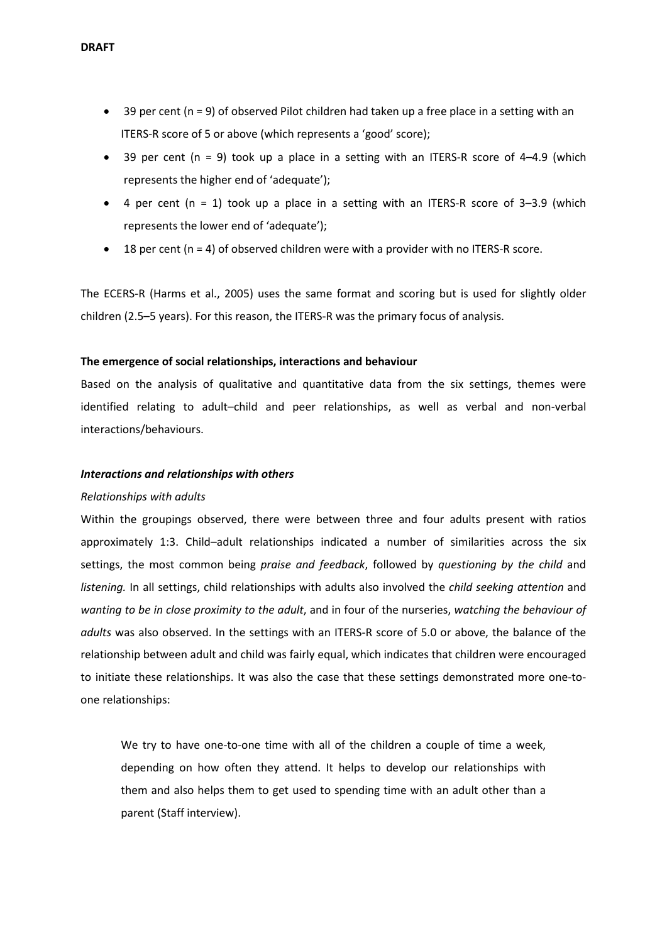- 39 per cent ( $n = 9$ ) of observed Pilot children had taken up a free place in a setting with an ITERS-R score of 5 or above (which represents a 'good' score);
- 39 per cent ( $n = 9$ ) took up a place in a setting with an ITERS-R score of 4–4.9 (which represents the higher end of 'adequate');
- 4 per cent  $(n = 1)$  took up a place in a setting with an ITERS-R score of 3–3.9 (which represents the lower end of 'adequate');
- $\bullet$  18 per cent ( $n = 4$ ) of observed children were with a provider with no ITERS-R score.

The ECERS-R (Harms et al., 2005) uses the same format and scoring but is used for slightly older children (2.5–5 years). For this reason, the ITERS-R was the primary focus of analysis.

# **The emergence of social relationships, interactions and behaviour**

Based on the analysis of qualitative and quantitative data from the six settings, themes were identified relating to adult–child and peer relationships, as well as verbal and non-verbal interactions/behaviours.

# *Interactions and relationships with others*

# *Relationships with adults*

Within the groupings observed, there were between three and four adults present with ratios approximately 1:3. Child–adult relationships indicated a number of similarities across the six settings, the most common being *praise and feedback*, followed by *questioning by the child* and *listening.* In all settings, child relationships with adults also involved the *child seeking attention* and *wanting to be in close proximity to the adult*, and in four of the nurseries, *watching the behaviour of adults* was also observed. In the settings with an ITERS-R score of 5.0 or above, the balance of the relationship between adult and child was fairly equal, which indicates that children were encouraged to initiate these relationships. It was also the case that these settings demonstrated more one-toone relationships:

We try to have one-to-one time with all of the children a couple of time a week, depending on how often they attend. It helps to develop our relationships with them and also helps them to get used to spending time with an adult other than a parent (Staff interview).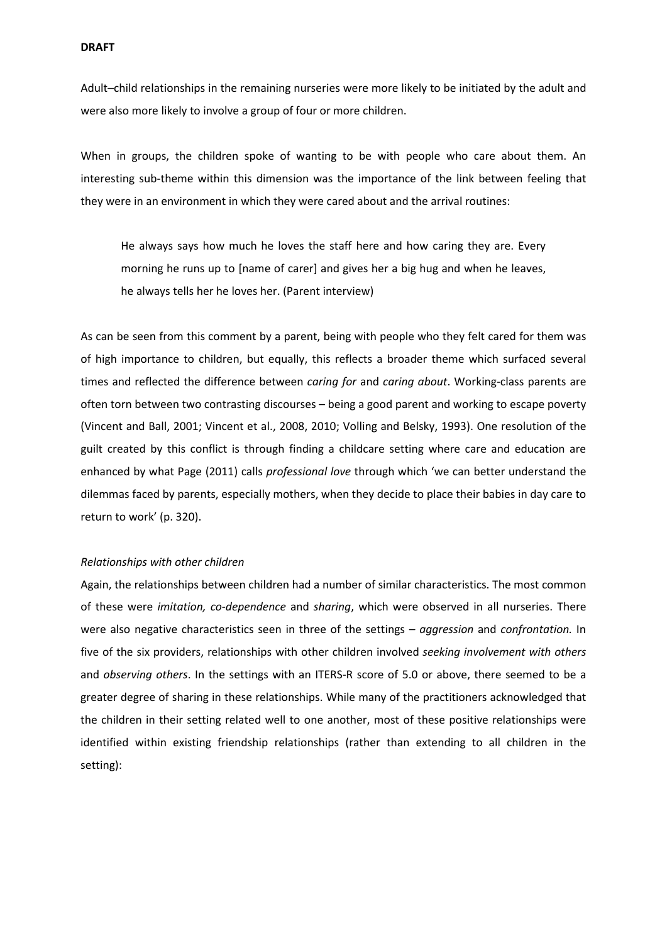Adult–child relationships in the remaining nurseries were more likely to be initiated by the adult and were also more likely to involve a group of four or more children.

When in groups, the children spoke of wanting to be with people who care about them. An interesting sub-theme within this dimension was the importance of the link between feeling that they were in an environment in which they were cared about and the arrival routines:

He always says how much he loves the staff here and how caring they are. Every morning he runs up to [name of carer] and gives her a big hug and when he leaves, he always tells her he loves her. (Parent interview)

As can be seen from this comment by a parent, being with people who they felt cared for them was of high importance to children, but equally, this reflects a broader theme which surfaced several times and reflected the difference between *caring for* and *caring about*. Working-class parents are often torn between two contrasting discourses – being a good parent and working to escape poverty (Vincent and Ball, 2001; Vincent et al., 2008, 2010; Volling and Belsky, 1993). One resolution of the guilt created by this conflict is through finding a childcare setting where care and education are enhanced by what Page (2011) calls *professional love* through which 'we can better understand the dilemmas faced by parents, especially mothers, when they decide to place their babies in day care to return to work' (p. 320).

#### *Relationships with other children*

Again, the relationships between children had a number of similar characteristics. The most common of these were *imitation, co-dependence* and *sharing*, which were observed in all nurseries. There were also negative characteristics seen in three of the settings – *aggression* and *confrontation.* In five of the six providers, relationships with other children involved *seeking involvement with others*  and *observing others*. In the settings with an ITERS-R score of 5.0 or above, there seemed to be a greater degree of sharing in these relationships. While many of the practitioners acknowledged that the children in their setting related well to one another, most of these positive relationships were identified within existing friendship relationships (rather than extending to all children in the setting):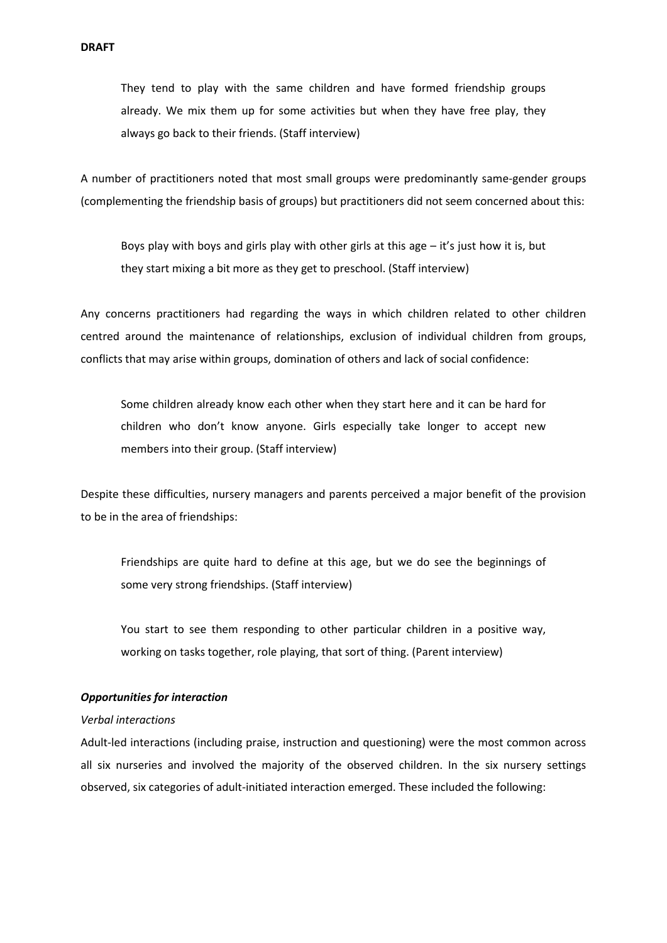They tend to play with the same children and have formed friendship groups already. We mix them up for some activities but when they have free play, they always go back to their friends. (Staff interview)

A number of practitioners noted that most small groups were predominantly same-gender groups (complementing the friendship basis of groups) but practitioners did not seem concerned about this:

Boys play with boys and girls play with other girls at this age  $-$  it's just how it is, but they start mixing a bit more as they get to preschool. (Staff interview)

Any concerns practitioners had regarding the ways in which children related to other children centred around the maintenance of relationships, exclusion of individual children from groups, conflicts that may arise within groups, domination of others and lack of social confidence:

Some children already know each other when they start here and it can be hard for children who don't know anyone. Girls especially take longer to accept new members into their group. (Staff interview)

Despite these difficulties, nursery managers and parents perceived a major benefit of the provision to be in the area of friendships:

Friendships are quite hard to define at this age, but we do see the beginnings of some very strong friendships. (Staff interview)

You start to see them responding to other particular children in a positive way, working on tasks together, role playing, that sort of thing. (Parent interview)

# *Opportunities for interaction*

# *Verbal interactions*

Adult-led interactions (including praise, instruction and questioning) were the most common across all six nurseries and involved the majority of the observed children. In the six nursery settings observed, six categories of adult-initiated interaction emerged. These included the following: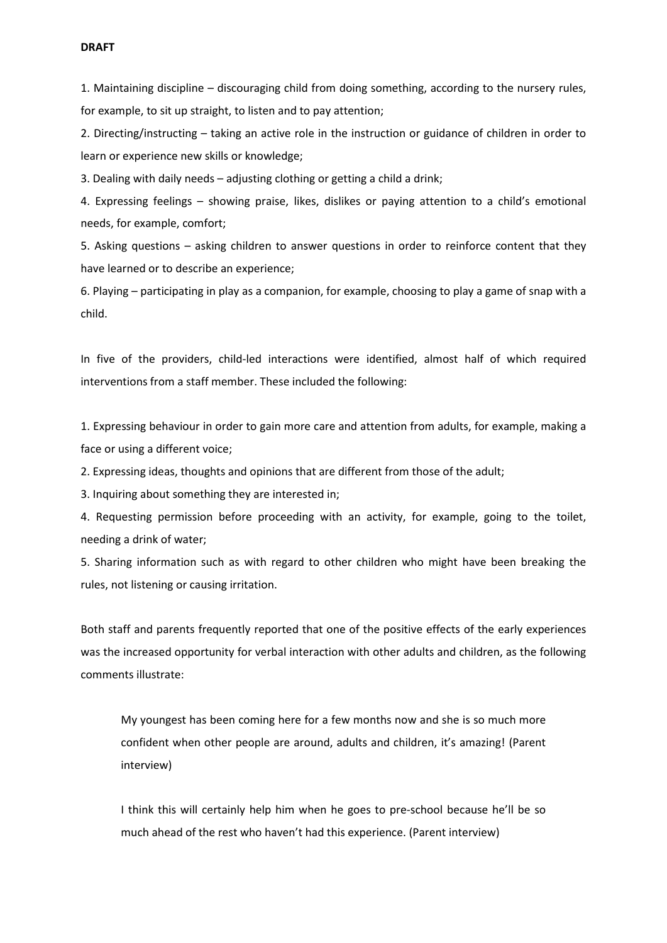1. Maintaining discipline – discouraging child from doing something, according to the nursery rules, for example, to sit up straight, to listen and to pay attention;

2. Directing/instructing – taking an active role in the instruction or guidance of children in order to learn or experience new skills or knowledge;

3. Dealing with daily needs – adjusting clothing or getting a child a drink;

4. Expressing feelings – showing praise, likes, dislikes or paying attention to a child's emotional needs, for example, comfort;

5. Asking questions – asking children to answer questions in order to reinforce content that they have learned or to describe an experience;

6. Playing – participating in play as a companion, for example, choosing to play a game of snap with a child.

In five of the providers, child-led interactions were identified, almost half of which required interventions from a staff member. These included the following:

1. Expressing behaviour in order to gain more care and attention from adults, for example, making a face or using a different voice;

2. Expressing ideas, thoughts and opinions that are different from those of the adult;

3. Inquiring about something they are interested in;

4. Requesting permission before proceeding with an activity, for example, going to the toilet, needing a drink of water;

5. Sharing information such as with regard to other children who might have been breaking the rules, not listening or causing irritation.

Both staff and parents frequently reported that one of the positive effects of the early experiences was the increased opportunity for verbal interaction with other adults and children, as the following comments illustrate:

My youngest has been coming here for a few months now and she is so much more confident when other people are around, adults and children, it's amazing! (Parent interview)

I think this will certainly help him when he goes to pre-school because he'll be so much ahead of the rest who haven't had this experience. (Parent interview)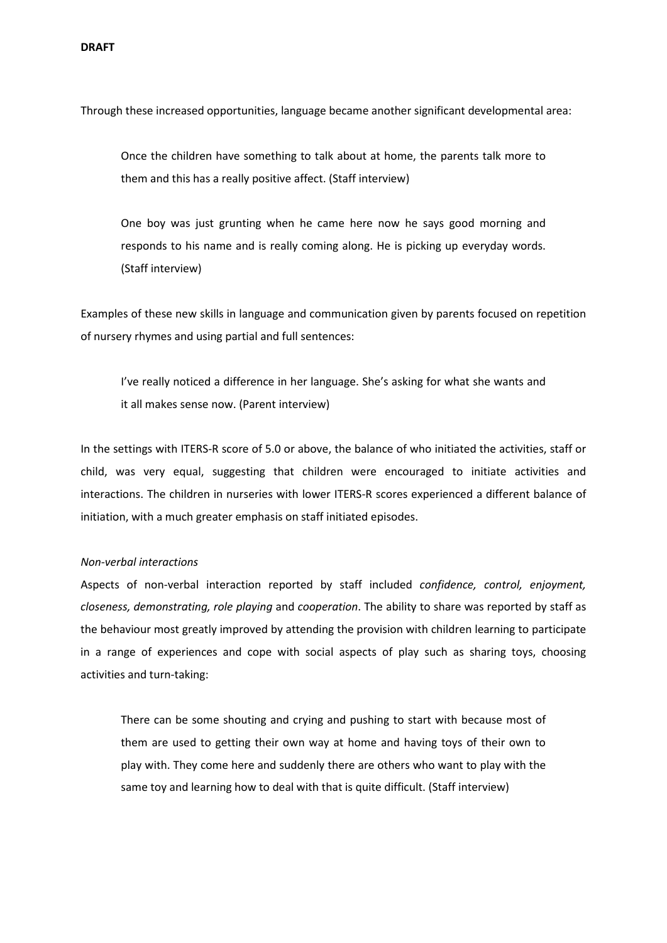Through these increased opportunities, language became another significant developmental area:

Once the children have something to talk about at home, the parents talk more to them and this has a really positive affect. (Staff interview)

One boy was just grunting when he came here now he says good morning and responds to his name and is really coming along. He is picking up everyday words. (Staff interview)

Examples of these new skills in language and communication given by parents focused on repetition of nursery rhymes and using partial and full sentences:

I've really noticed a difference in her language. She's asking for what she wants and it all makes sense now. (Parent interview)

In the settings with ITERS-R score of 5.0 or above, the balance of who initiated the activities, staff or child, was very equal, suggesting that children were encouraged to initiate activities and interactions. The children in nurseries with lower ITERS-R scores experienced a different balance of initiation, with a much greater emphasis on staff initiated episodes.

# *Non-verbal interactions*

Aspects of non-verbal interaction reported by staff included *confidence, control, enjoyment, closeness, demonstrating, role playing* and *cooperation*. The ability to share was reported by staff as the behaviour most greatly improved by attending the provision with children learning to participate in a range of experiences and cope with social aspects of play such as sharing toys, choosing activities and turn-taking:

There can be some shouting and crying and pushing to start with because most of them are used to getting their own way at home and having toys of their own to play with. They come here and suddenly there are others who want to play with the same toy and learning how to deal with that is quite difficult. (Staff interview)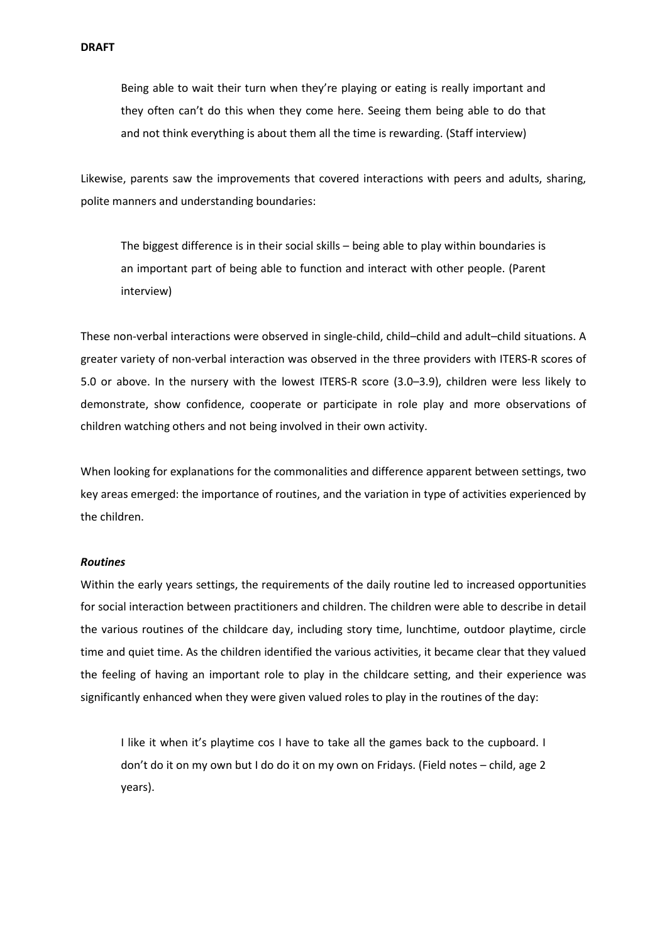Being able to wait their turn when they're playing or eating is really important and they often can't do this when they come here. Seeing them being able to do that and not think everything is about them all the time is rewarding. (Staff interview)

Likewise, parents saw the improvements that covered interactions with peers and adults, sharing, polite manners and understanding boundaries:

The biggest difference is in their social skills – being able to play within boundaries is an important part of being able to function and interact with other people. (Parent interview)

These non-verbal interactions were observed in single-child, child–child and adult–child situations. A greater variety of non-verbal interaction was observed in the three providers with ITERS-R scores of 5.0 or above. In the nursery with the lowest ITERS-R score (3.0–3.9), children were less likely to demonstrate, show confidence, cooperate or participate in role play and more observations of children watching others and not being involved in their own activity.

When looking for explanations for the commonalities and difference apparent between settings, two key areas emerged: the importance of routines, and the variation in type of activities experienced by the children.

# *Routines*

Within the early years settings, the requirements of the daily routine led to increased opportunities for social interaction between practitioners and children. The children were able to describe in detail the various routines of the childcare day, including story time, lunchtime, outdoor playtime, circle time and quiet time. As the children identified the various activities, it became clear that they valued the feeling of having an important role to play in the childcare setting, and their experience was significantly enhanced when they were given valued roles to play in the routines of the day:

I like it when it's playtime cos I have to take all the games back to the cupboard. I don't do it on my own but I do do it on my own on Fridays. (Field notes – child, age 2 years).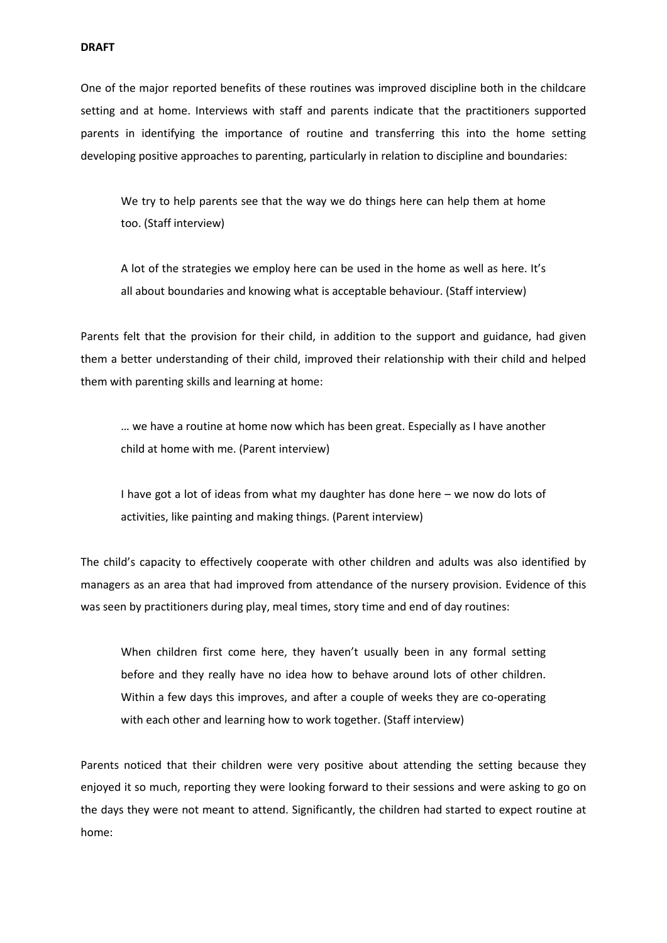One of the major reported benefits of these routines was improved discipline both in the childcare setting and at home. Interviews with staff and parents indicate that the practitioners supported parents in identifying the importance of routine and transferring this into the home setting developing positive approaches to parenting, particularly in relation to discipline and boundaries:

We try to help parents see that the way we do things here can help them at home too. (Staff interview)

A lot of the strategies we employ here can be used in the home as well as here. It's all about boundaries and knowing what is acceptable behaviour. (Staff interview)

Parents felt that the provision for their child, in addition to the support and guidance, had given them a better understanding of their child, improved their relationship with their child and helped them with parenting skills and learning at home:

… we have a routine at home now which has been great. Especially as I have another child at home with me. (Parent interview)

I have got a lot of ideas from what my daughter has done here – we now do lots of activities, like painting and making things. (Parent interview)

The child's capacity to effectively cooperate with other children and adults was also identified by managers as an area that had improved from attendance of the nursery provision. Evidence of this was seen by practitioners during play, meal times, story time and end of day routines:

When children first come here, they haven't usually been in any formal setting before and they really have no idea how to behave around lots of other children. Within a few days this improves, and after a couple of weeks they are co-operating with each other and learning how to work together. (Staff interview)

Parents noticed that their children were very positive about attending the setting because they enjoyed it so much, reporting they were looking forward to their sessions and were asking to go on the days they were not meant to attend. Significantly, the children had started to expect routine at home: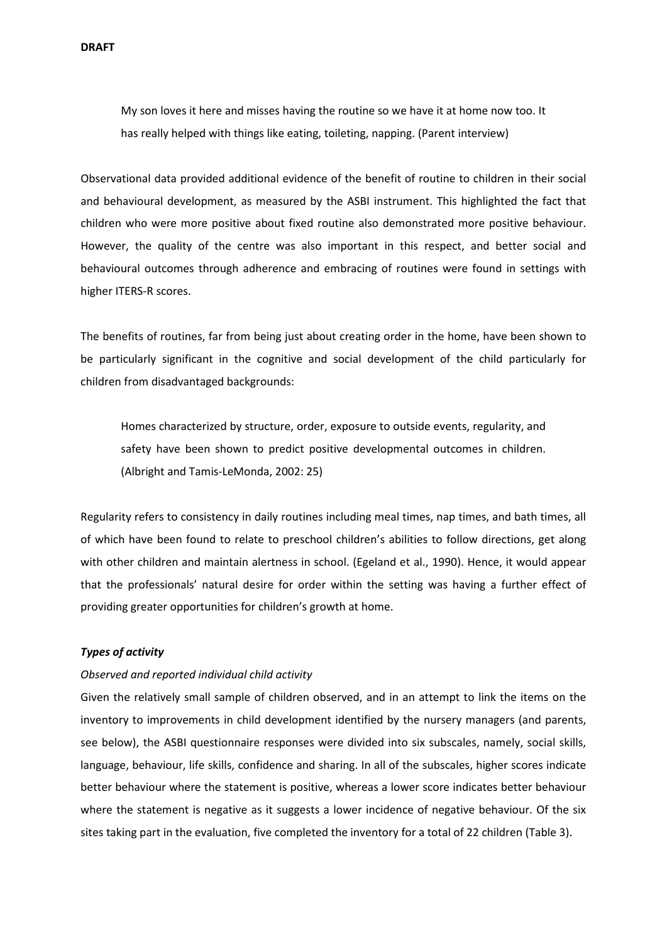My son loves it here and misses having the routine so we have it at home now too. It has really helped with things like eating, toileting, napping. (Parent interview)

Observational data provided additional evidence of the benefit of routine to children in their social and behavioural development, as measured by the ASBI instrument. This highlighted the fact that children who were more positive about fixed routine also demonstrated more positive behaviour. However, the quality of the centre was also important in this respect, and better social and behavioural outcomes through adherence and embracing of routines were found in settings with higher ITERS-R scores.

The benefits of routines, far from being just about creating order in the home, have been shown to be particularly significant in the cognitive and social development of the child particularly for children from disadvantaged backgrounds:

Homes characterized by structure, order, exposure to outside events, regularity, and safety have been shown to predict positive developmental outcomes in children. (Albright and Tamis-LeMonda, 2002: 25)

Regularity refers to consistency in daily routines including meal times, nap times, and bath times, all of which have been found to relate to preschool children's abilities to follow directions, get along with other children and maintain alertness in school. (Egeland et al., 1990). Hence, it would appear that the professionals' natural desire for order within the setting was having a further effect of providing greater opportunities for children's growth at home.

# *Types of activity*

# *Observed and reported individual child activity*

Given the relatively small sample of children observed, and in an attempt to link the items on the inventory to improvements in child development identified by the nursery managers (and parents, see below), the ASBI questionnaire responses were divided into six subscales, namely, social skills, language, behaviour, life skills, confidence and sharing. In all of the subscales, higher scores indicate better behaviour where the statement is positive, whereas a lower score indicates better behaviour where the statement is negative as it suggests a lower incidence of negative behaviour. Of the six sites taking part in the evaluation, five completed the inventory for a total of 22 children (Table 3).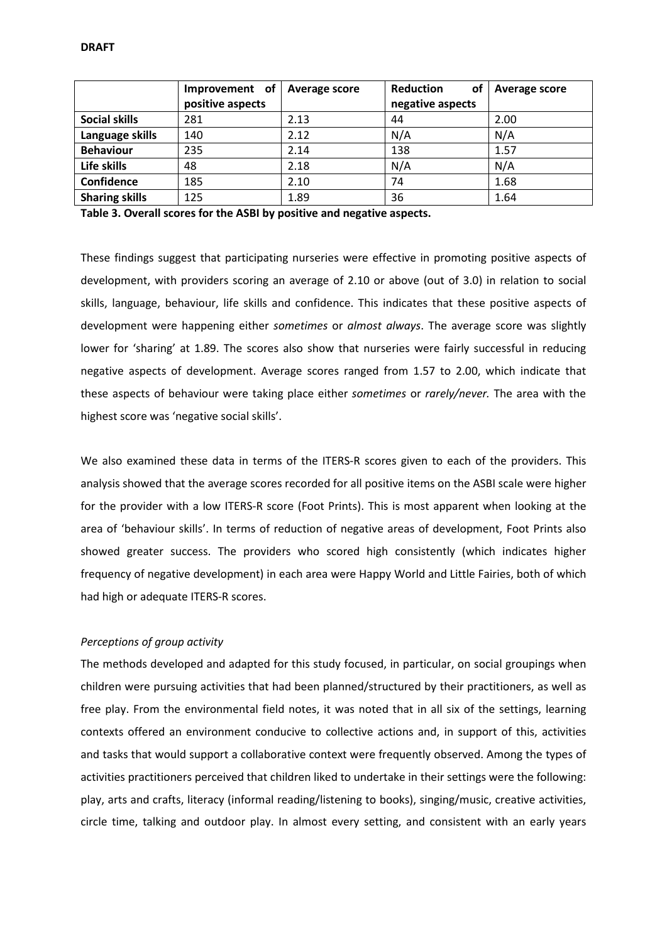|                       | of<br>Improvement<br>positive aspects | Average score | <b>Reduction</b><br>of<br>negative aspects | Average score |
|-----------------------|---------------------------------------|---------------|--------------------------------------------|---------------|
| <b>Social skills</b>  | 281                                   | 2.13          | 44                                         | 2.00          |
| Language skills       | 140                                   | 2.12          | N/A                                        | N/A           |
| <b>Behaviour</b>      | 235                                   | 2.14          | 138                                        | 1.57          |
| Life skills           | 48                                    | 2.18          | N/A                                        | N/A           |
| Confidence            | 185                                   | 2.10          | 74                                         | 1.68          |
| <b>Sharing skills</b> | 125                                   | 1.89          | 36                                         | 1.64          |

**Table 3. Overall scores for the ASBI by positive and negative aspects.**

These findings suggest that participating nurseries were effective in promoting positive aspects of development, with providers scoring an average of 2.10 or above (out of 3.0) in relation to social skills, language, behaviour, life skills and confidence. This indicates that these positive aspects of development were happening either *sometimes* or *almost always*. The average score was slightly lower for 'sharing' at 1.89. The scores also show that nurseries were fairly successful in reducing negative aspects of development. Average scores ranged from 1.57 to 2.00, which indicate that these aspects of behaviour were taking place either *sometimes* or *rarely/never.* The area with the highest score was 'negative social skills'.

We also examined these data in terms of the ITERS-R scores given to each of the providers. This analysis showed that the average scores recorded for all positive items on the ASBI scale were higher for the provider with a low ITERS-R score (Foot Prints). This is most apparent when looking at the area of 'behaviour skills'. In terms of reduction of negative areas of development, Foot Prints also showed greater success. The providers who scored high consistently (which indicates higher frequency of negative development) in each area were Happy World and Little Fairies, both of which had high or adequate ITERS-R scores.

# *Perceptions of group activity*

The methods developed and adapted for this study focused, in particular, on social groupings when children were pursuing activities that had been planned/structured by their practitioners, as well as free play. From the environmental field notes, it was noted that in all six of the settings, learning contexts offered an environment conducive to collective actions and, in support of this, activities and tasks that would support a collaborative context were frequently observed. Among the types of activities practitioners perceived that children liked to undertake in their settings were the following: play, arts and crafts, literacy (informal reading/listening to books), singing/music, creative activities, circle time, talking and outdoor play. In almost every setting, and consistent with an early years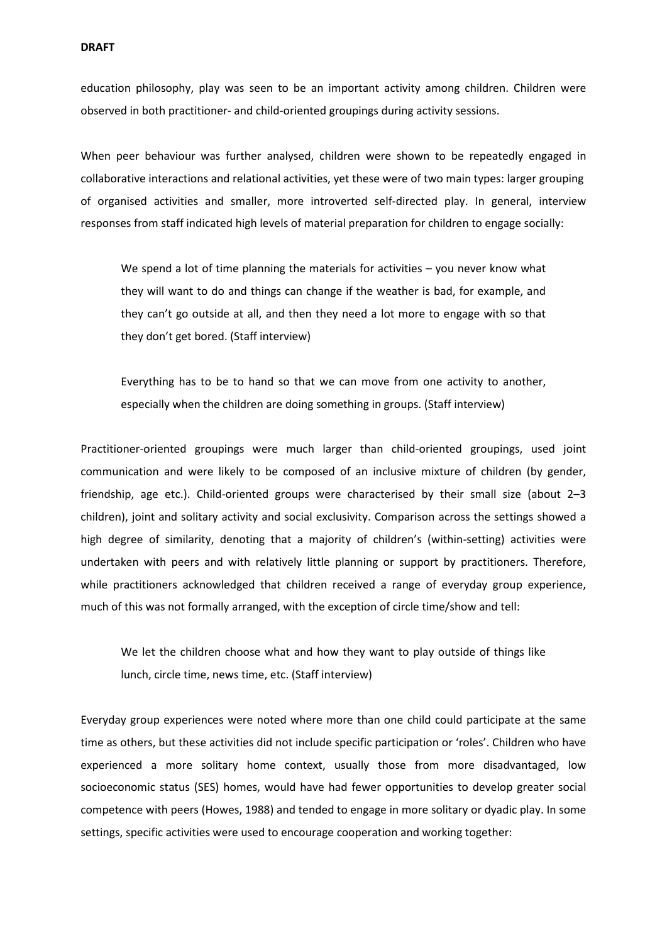education philosophy, play was seen to be an important activity among children. Children were observed in both practitioner- and child-oriented groupings during activity sessions.

When peer behaviour was further analysed, children were shown to be repeatedly engaged in collaborative interactions and relational activities, yet these were of two main types: larger grouping of organised activities and smaller, more introverted self-directed play. In general, interview responses from staff indicated high levels of material preparation for children to engage socially:

We spend a lot of time planning the materials for activities - you never know what they will want to do and things can change if the weather is bad, for example, and they can't go outside at all, and then they need a lot more to engage with so that they don't get bored. (Staff interview)

Everything has to be to hand so that we can move from one activity to another, especially when the children are doing something in groups. (Staff interview)

Practitioner-oriented groupings were much larger than child-oriented groupings, used joint communication and were likely to be composed of an inclusive mixture of children (by gender, friendship, age etc.). Child-oriented groups were characterised by their small size (about 2–3 children), joint and solitary activity and social exclusivity. Comparison across the settings showed a high degree of similarity, denoting that a majority of children's (within-setting) activities were undertaken with peers and with relatively little planning or support by practitioners. Therefore, while practitioners acknowledged that children received a range of everyday group experience, much of this was not formally arranged, with the exception of circle time/show and tell:

We let the children choose what and how they want to play outside of things like lunch, circle time, news time, etc. (Staff interview)

Everyday group experiences were noted where more than one child could participate at the same time as others, but these activities did not include specific participation or 'roles'. Children who have experienced a more solitary home context, usually those from more disadvantaged, low socioeconomic status (SES) homes, would have had fewer opportunities to develop greater social competence with peers (Howes, 1988) and tended to engage in more solitary or dyadic play. In some settings, specific activities were used to encourage cooperation and working together: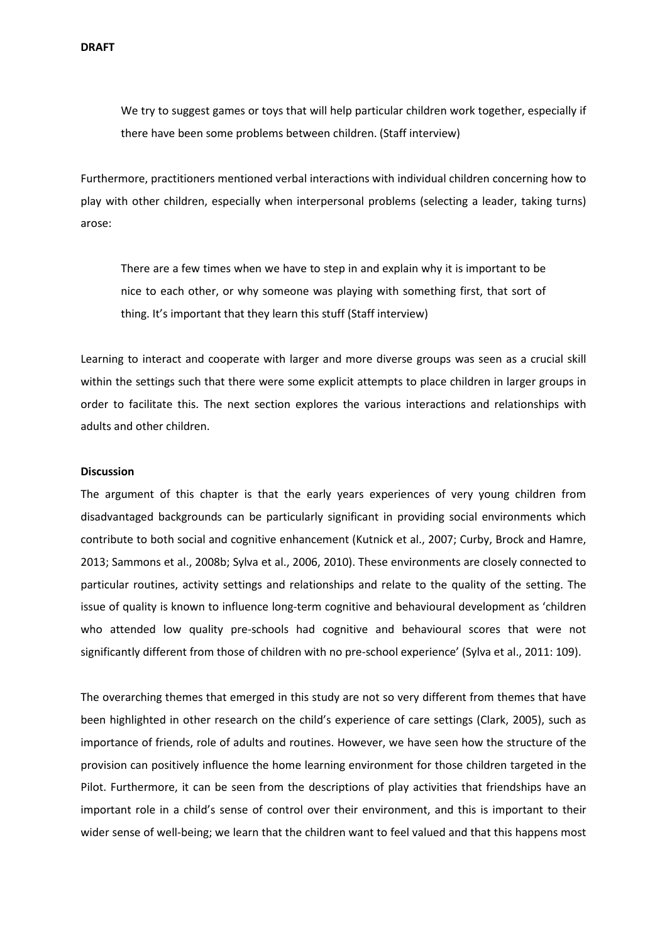We try to suggest games or toys that will help particular children work together, especially if there have been some problems between children. (Staff interview)

Furthermore, practitioners mentioned verbal interactions with individual children concerning how to play with other children, especially when interpersonal problems (selecting a leader, taking turns) arose:

There are a few times when we have to step in and explain why it is important to be nice to each other, or why someone was playing with something first, that sort of thing. It's important that they learn this stuff (Staff interview)

Learning to interact and cooperate with larger and more diverse groups was seen as a crucial skill within the settings such that there were some explicit attempts to place children in larger groups in order to facilitate this. The next section explores the various interactions and relationships with adults and other children.

#### **Discussion**

The argument of this chapter is that the early years experiences of very young children from disadvantaged backgrounds can be particularly significant in providing social environments which contribute to both social and cognitive enhancement (Kutnick et al., 2007; Curby, Brock and Hamre, 2013; Sammons et al., 2008b; Sylva et al., 2006, 2010). These environments are closely connected to particular routines, activity settings and relationships and relate to the quality of the setting. The issue of quality is known to influence long-term cognitive and behavioural development as 'children who attended low quality pre-schools had cognitive and behavioural scores that were not significantly different from those of children with no pre-school experience' (Sylva et al., 2011: 109).

The overarching themes that emerged in this study are not so very different from themes that have been highlighted in other research on the child's experience of care settings (Clark, 2005), such as importance of friends, role of adults and routines. However, we have seen how the structure of the provision can positively influence the home learning environment for those children targeted in the Pilot. Furthermore, it can be seen from the descriptions of play activities that friendships have an important role in a child's sense of control over their environment, and this is important to their wider sense of well-being; we learn that the children want to feel valued and that this happens most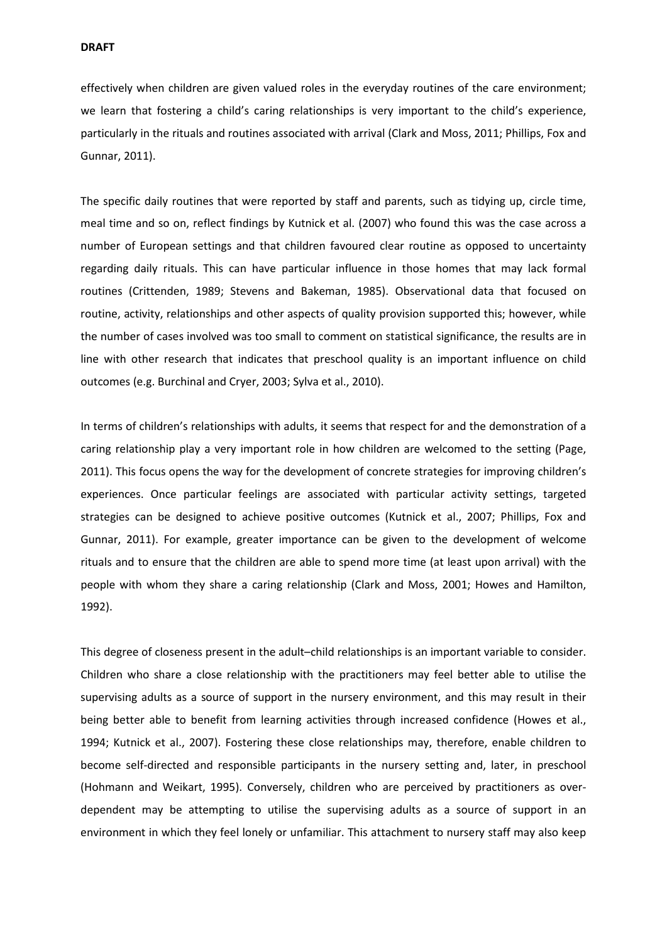effectively when children are given valued roles in the everyday routines of the care environment; we learn that fostering a child's caring relationships is very important to the child's experience, particularly in the rituals and routines associated with arrival (Clark and Moss, 2011; Phillips, Fox and Gunnar, 2011).

The specific daily routines that were reported by staff and parents, such as tidying up, circle time, meal time and so on, reflect findings by Kutnick et al. (2007) who found this was the case across a number of European settings and that children favoured clear routine as opposed to uncertainty regarding daily rituals. This can have particular influence in those homes that may lack formal routines (Crittenden, 1989; Stevens and Bakeman, 1985). Observational data that focused on routine, activity, relationships and other aspects of quality provision supported this; however, while the number of cases involved was too small to comment on statistical significance, the results are in line with other research that indicates that preschool quality is an important influence on child outcomes (e.g. Burchinal and Cryer, 2003; Sylva et al., 2010).

In terms of children's relationships with adults, it seems that respect for and the demonstration of a caring relationship play a very important role in how children are welcomed to the setting (Page, 2011). This focus opens the way for the development of concrete strategies for improving children's experiences. Once particular feelings are associated with particular activity settings, targeted strategies can be designed to achieve positive outcomes (Kutnick et al., 2007; Phillips, Fox and Gunnar, 2011). For example, greater importance can be given to the development of welcome rituals and to ensure that the children are able to spend more time (at least upon arrival) with the people with whom they share a caring relationship (Clark and Moss, 2001; Howes and Hamilton, 1992).

This degree of closeness present in the adult–child relationships is an important variable to consider. Children who share a close relationship with the practitioners may feel better able to utilise the supervising adults as a source of support in the nursery environment, and this may result in their being better able to benefit from learning activities through increased confidence (Howes et al., 1994; Kutnick et al., 2007). Fostering these close relationships may, therefore, enable children to become self-directed and responsible participants in the nursery setting and, later, in preschool (Hohmann and Weikart, 1995). Conversely, children who are perceived by practitioners as overdependent may be attempting to utilise the supervising adults as a source of support in an environment in which they feel lonely or unfamiliar. This attachment to nursery staff may also keep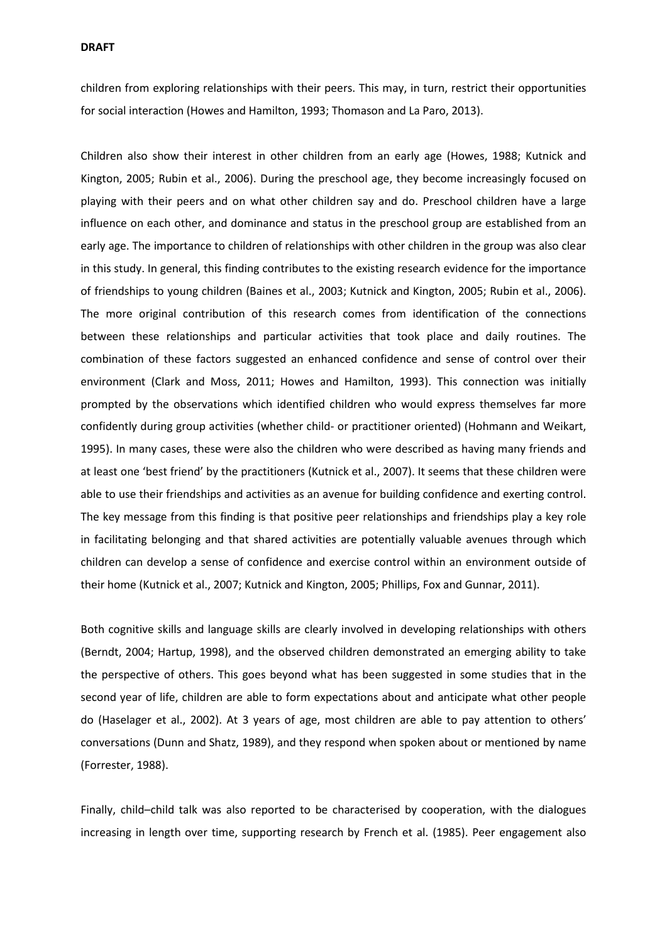children from exploring relationships with their peers. This may, in turn, restrict their opportunities for social interaction (Howes and Hamilton, 1993; Thomason and La Paro, 2013).

Children also show their interest in other children from an early age (Howes, 1988; Kutnick and Kington, 2005; Rubin et al., 2006). During the preschool age, they become increasingly focused on playing with their peers and on what other children say and do. Preschool children have a large influence on each other, and dominance and status in the preschool group are established from an early age. The importance to children of relationships with other children in the group was also clear in this study. In general, this finding contributes to the existing research evidence for the importance of friendships to young children (Baines et al., 2003; Kutnick and Kington, 2005; Rubin et al., 2006). The more original contribution of this research comes from identification of the connections between these relationships and particular activities that took place and daily routines. The combination of these factors suggested an enhanced confidence and sense of control over their environment (Clark and Moss, 2011; Howes and Hamilton, 1993). This connection was initially prompted by the observations which identified children who would express themselves far more confidently during group activities (whether child- or practitioner oriented) (Hohmann and Weikart, 1995). In many cases, these were also the children who were described as having many friends and at least one 'best friend' by the practitioners (Kutnick et al., 2007). It seems that these children were able to use their friendships and activities as an avenue for building confidence and exerting control. The key message from this finding is that positive peer relationships and friendships play a key role in facilitating belonging and that shared activities are potentially valuable avenues through which children can develop a sense of confidence and exercise control within an environment outside of their home (Kutnick et al., 2007; Kutnick and Kington, 2005; Phillips, Fox and Gunnar, 2011).

Both cognitive skills and language skills are clearly involved in developing relationships with others (Berndt, 2004; Hartup, 1998), and the observed children demonstrated an emerging ability to take the perspective of others. This goes beyond what has been suggested in some studies that in the second year of life, children are able to form expectations about and anticipate what other people do (Haselager et al., 2002). At 3 years of age, most children are able to pay attention to others' conversations (Dunn and Shatz, 1989), and they respond when spoken about or mentioned by name (Forrester, 1988).

Finally, child–child talk was also reported to be characterised by cooperation, with the dialogues increasing in length over time, supporting research by French et al. (1985). Peer engagement also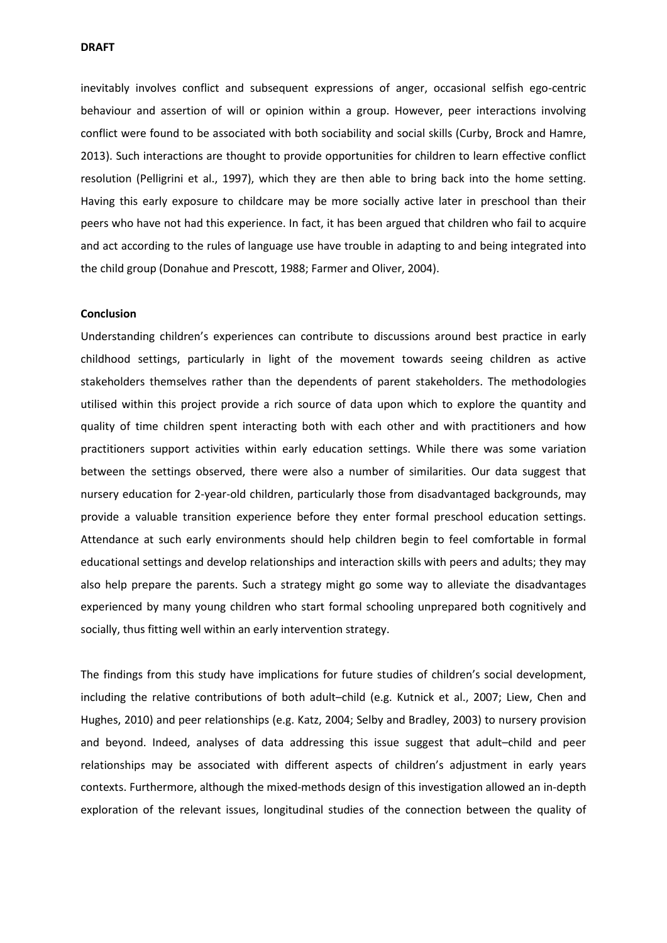inevitably involves conflict and subsequent expressions of anger, occasional selfish ego-centric behaviour and assertion of will or opinion within a group. However, peer interactions involving conflict were found to be associated with both sociability and social skills (Curby, Brock and Hamre, 2013). Such interactions are thought to provide opportunities for children to learn effective conflict resolution (Pelligrini et al., 1997), which they are then able to bring back into the home setting. Having this early exposure to childcare may be more socially active later in preschool than their peers who have not had this experience. In fact, it has been argued that children who fail to acquire and act according to the rules of language use have trouble in adapting to and being integrated into the child group (Donahue and Prescott, 1988; Farmer and Oliver, 2004).

#### **Conclusion**

Understanding children's experiences can contribute to discussions around best practice in early childhood settings, particularly in light of the movement towards seeing children as active stakeholders themselves rather than the dependents of parent stakeholders. The methodologies utilised within this project provide a rich source of data upon which to explore the quantity and quality of time children spent interacting both with each other and with practitioners and how practitioners support activities within early education settings. While there was some variation between the settings observed, there were also a number of similarities. Our data suggest that nursery education for 2-year-old children, particularly those from disadvantaged backgrounds, may provide a valuable transition experience before they enter formal preschool education settings. Attendance at such early environments should help children begin to feel comfortable in formal educational settings and develop relationships and interaction skills with peers and adults; they may also help prepare the parents. Such a strategy might go some way to alleviate the disadvantages experienced by many young children who start formal schooling unprepared both cognitively and socially, thus fitting well within an early intervention strategy.

The findings from this study have implications for future studies of children's social development, including the relative contributions of both adult–child (e.g. Kutnick et al., 2007; Liew, Chen and Hughes, 2010) and peer relationships (e.g. Katz, 2004; Selby and Bradley, 2003) to nursery provision and beyond. Indeed, analyses of data addressing this issue suggest that adult–child and peer relationships may be associated with different aspects of children's adjustment in early years contexts. Furthermore, although the mixed-methods design of this investigation allowed an in-depth exploration of the relevant issues, longitudinal studies of the connection between the quality of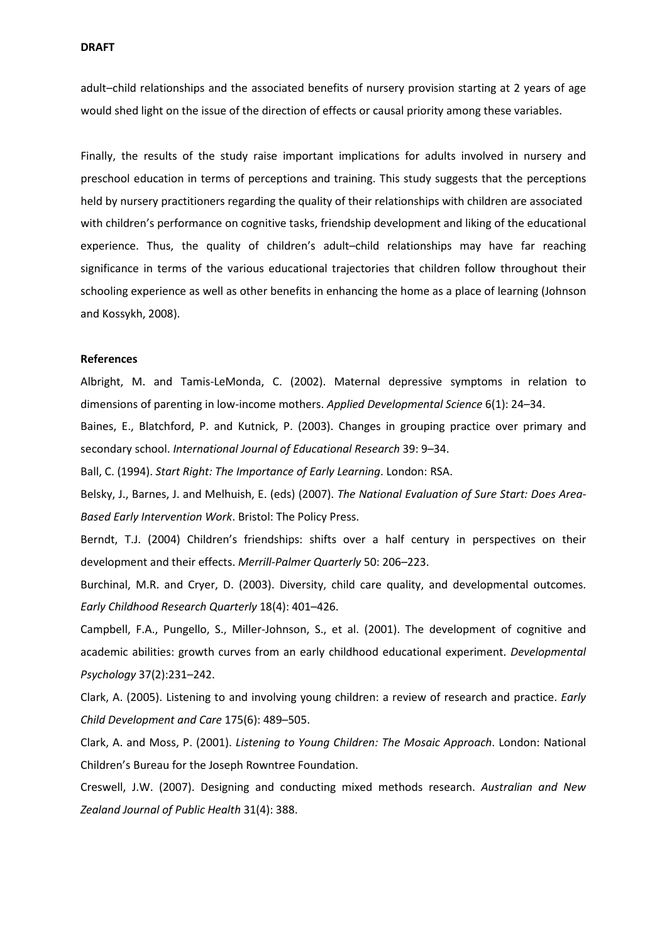adult–child relationships and the associated benefits of nursery provision starting at 2 years of age would shed light on the issue of the direction of effects or causal priority among these variables.

Finally, the results of the study raise important implications for adults involved in nursery and preschool education in terms of perceptions and training. This study suggests that the perceptions held by nursery practitioners regarding the quality of their relationships with children are associated with children's performance on cognitive tasks, friendship development and liking of the educational experience. Thus, the quality of children's adult–child relationships may have far reaching significance in terms of the various educational trajectories that children follow throughout their schooling experience as well as other benefits in enhancing the home as a place of learning (Johnson and Kossykh, 2008).

#### **References**

Albright, M. and Tamis-LeMonda, C. (2002). Maternal depressive symptoms in relation to dimensions of parenting in low-income mothers. *Applied Developmental Science* 6(1): 24–34.

Baines, E., Blatchford, P. and Kutnick, P. (2003). Changes in grouping practice over primary and secondary school. *International Journal of Educational Research* 39: 9–34.

Ball, C. (1994). *Start Right: The Importance of Early Learning*. London: RSA.

Belsky, J., Barnes, J. and Melhuish, E. (eds) (2007). *The National Evaluation of Sure Start: Does Area-Based Early Intervention Work*. Bristol: The Policy Press.

Berndt, T.J. (2004) Children's friendships: shifts over a half century in perspectives on their development and their effects. *Merrill-Palmer Quarterly* 50: 206–223.

Burchinal, M.R. and Cryer, D. (2003). Diversity, child care quality, and developmental outcomes. *Early Childhood Research Quarterly* 18(4): 401–426.

Campbell, F.A., Pungello, S., Miller-Johnson, S., et al. (2001). The development of cognitive and academic abilities: growth curves from an early childhood educational experiment. *Developmental Psychology* 37(2):231–242.

Clark, A. (2005). Listening to and involving young children: a review of research and practice. *Early Child Development and Care* 175(6): 489–505.

Clark, A. and Moss, P. (2001). *Listening to Young Children: The Mosaic Approach*. London: National Children's Bureau for the Joseph Rowntree Foundation.

Creswell, J.W. (2007). Designing and conducting mixed methods research. *Australian and New Zealand Journal of Public Health* 31(4): 388.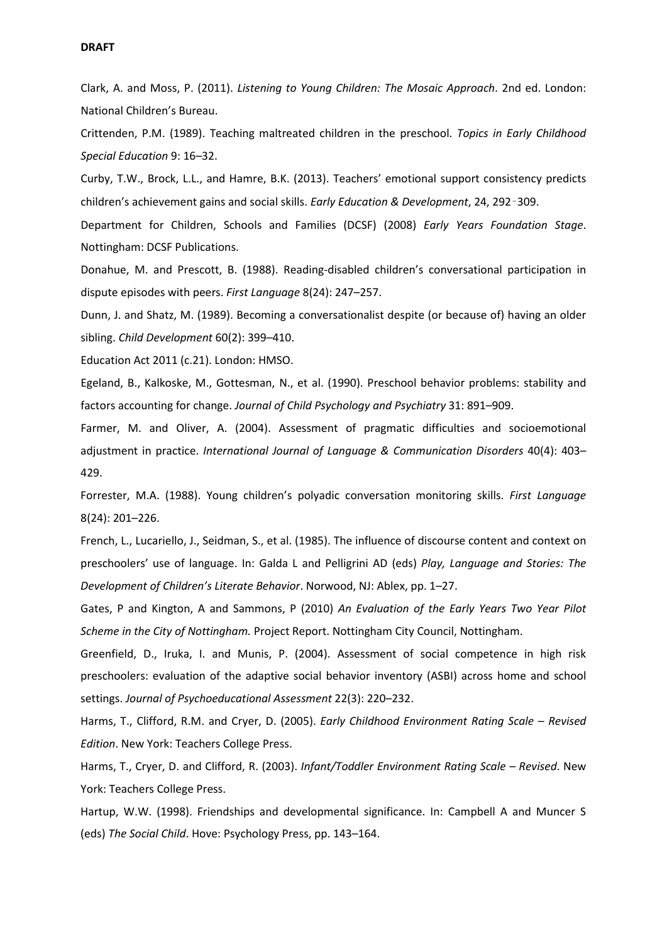Clark, A. and Moss, P. (2011). *Listening to Young Children: The Mosaic Approach*. 2nd ed. London: National Children's Bureau.

Crittenden, P.M. (1989). Teaching maltreated children in the preschool. *Topics in Early Childhood Special Education* 9: 16–32.

Curby, T.W., Brock, L.L., and Hamre, B.K. (2013). Teachers' emotional support consistency predicts children's achievement gains and social skills. *Early Education & Development*, 24, 292–309.

Department for Children, Schools and Families (DCSF) (2008) *Early Years Foundation Stage*. Nottingham: DCSF Publications.

Donahue, M. and Prescott, B. (1988). Reading-disabled children's conversational participation in dispute episodes with peers. *First Language* 8(24): 247–257.

Dunn, J. and Shatz, M. (1989). Becoming a conversationalist despite (or because of) having an older sibling. *Child Development* 60(2): 399–410.

Education Act 2011 (c.21). London: HMSO.

Egeland, B., Kalkoske, M., Gottesman, N., et al. (1990). Preschool behavior problems: stability and factors accounting for change. *Journal of Child Psychology and Psychiatry* 31: 891–909.

Farmer, M. and Oliver, A. (2004). Assessment of pragmatic difficulties and socioemotional adjustment in practice. *International Journal of Language & Communication Disorders* 40(4): 403– 429.

Forrester, M.A. (1988). Young children's polyadic conversation monitoring skills. *First Language*  8(24): 201–226.

French, L., Lucariello, J., Seidman, S., et al. (1985). The influence of discourse content and context on preschoolers' use of language. In: Galda L and Pelligrini AD (eds) *Play, Language and Stories: The Development of Children's Literate Behavior*. Norwood, NJ: Ablex, pp. 1–27.

Gates, P and Kington, A and Sammons, P (2010) *An Evaluation of the Early Years Two Year Pilot Scheme in the City of Nottingham.* Project Report. Nottingham City Council, Nottingham.

Greenfield, D., Iruka, I. and Munis, P. (2004). Assessment of social competence in high risk preschoolers: evaluation of the adaptive social behavior inventory (ASBI) across home and school settings. *Journal of Psychoeducational Assessment* 22(3): 220–232.

Harms, T., Clifford, R.M. and Cryer, D. (2005). *Early Childhood Environment Rating Scale – Revised Edition*. New York: Teachers College Press.

Harms, T., Cryer, D. and Clifford, R. (2003). *Infant/Toddler Environment Rating Scale – Revised*. New York: Teachers College Press.

Hartup, W.W. (1998). Friendships and developmental significance. In: Campbell A and Muncer S (eds) *The Social Child*. Hove: Psychology Press, pp. 143–164.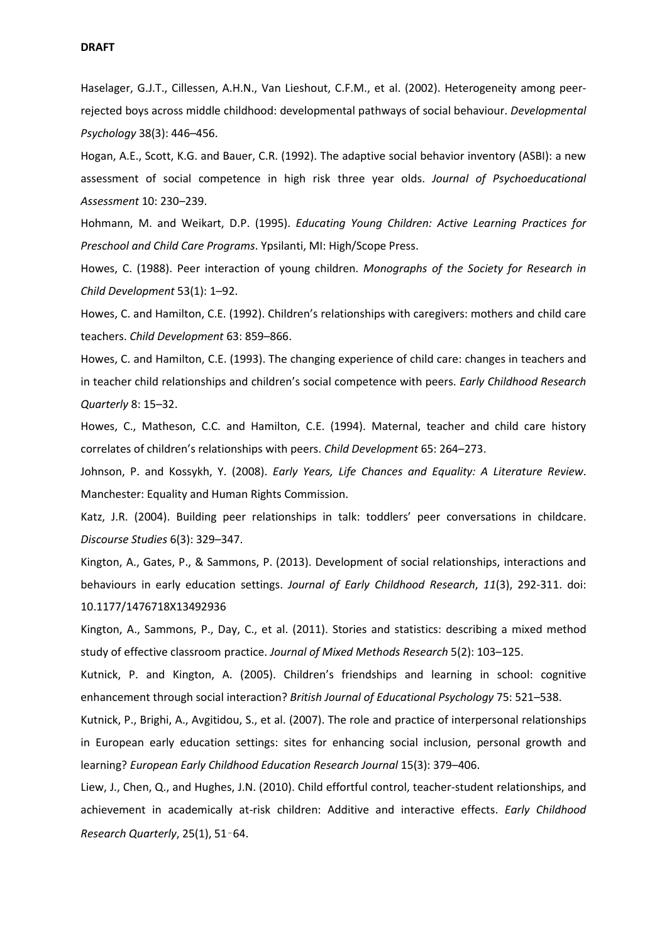Haselager, G.J.T., Cillessen, A.H.N., Van Lieshout, C.F.M., et al. (2002). Heterogeneity among peerrejected boys across middle childhood: developmental pathways of social behaviour. *Developmental Psychology* 38(3): 446–456.

Hogan, A.E., Scott, K.G. and Bauer, C.R. (1992). The adaptive social behavior inventory (ASBI): a new assessment of social competence in high risk three year olds. *Journal of Psychoeducational Assessment* 10: 230–239.

Hohmann, M. and Weikart, D.P. (1995). *Educating Young Children: Active Learning Practices for Preschool and Child Care Programs*. Ypsilanti, MI: High/Scope Press.

Howes, C. (1988). Peer interaction of young children. *Monographs of the Society for Research in Child Development* 53(1): 1–92.

Howes, C. and Hamilton, C.E. (1992). Children's relationships with caregivers: mothers and child care teachers. *Child Development* 63: 859–866.

Howes, C. and Hamilton, C.E. (1993). The changing experience of child care: changes in teachers and in teacher child relationships and children's social competence with peers. *Early Childhood Research Quarterly* 8: 15–32.

Howes, C., Matheson, C.C. and Hamilton, C.E. (1994). Maternal, teacher and child care history correlates of children's relationships with peers. *Child Development* 65: 264–273.

Johnson, P. and Kossykh, Y. (2008). *Early Years, Life Chances and Equality: A Literature Review*. Manchester: Equality and Human Rights Commission.

Katz, J.R. (2004). Building peer relationships in talk: toddlers' peer conversations in childcare. *Discourse Studies* 6(3): 329–347.

Kington, A., Gates, P., & Sammons, P. (2013). Development of social relationships, interactions and behaviours in early education settings. *Journal of Early Childhood Research*, *11*(3), 292-311. doi: 10.1177/1476718X13492936

Kington, A., Sammons, P., Day, C., et al. (2011). Stories and statistics: describing a mixed method study of effective classroom practice. *Journal of Mixed Methods Research* 5(2): 103–125.

Kutnick, P. and Kington, A. (2005). Children's friendships and learning in school: cognitive enhancement through social interaction? *British Journal of Educational Psychology* 75: 521–538.

Kutnick, P., Brighi, A., Avgitidou, S., et al. (2007). The role and practice of interpersonal relationships in European early education settings: sites for enhancing social inclusion, personal growth and learning? *European Early Childhood Education Research Journal* 15(3): 379–406.

Liew, J., Chen, Q., and Hughes, J.N. (2010). Child effortful control, teacher-student relationships, and achievement in academically at-risk children: Additive and interactive effects. *Early Childhood Research Quarterly*, 25(1), 51–64.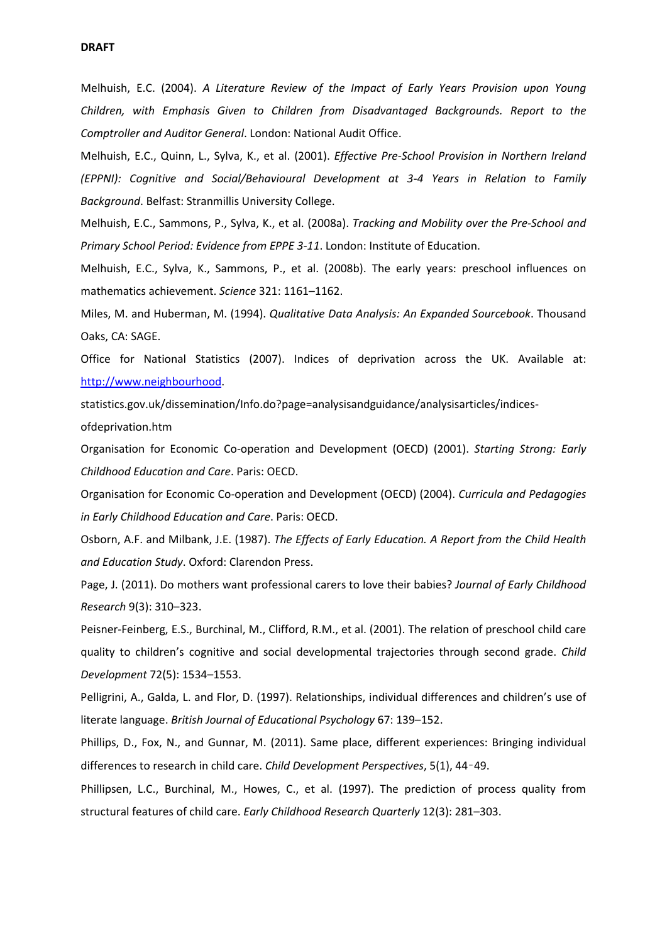Melhuish, E.C. (2004). *A Literature Review of the Impact of Early Years Provision upon Young Children, with Emphasis Given to Children from Disadvantaged Backgrounds. Report to the Comptroller and Auditor General*. London: National Audit Office.

Melhuish, E.C., Quinn, L., Sylva, K., et al. (2001). *Effective Pre-School Provision in Northern Ireland (EPPNI): Cognitive and Social/Behavioural Development at 3-4 Years in Relation to Family Background*. Belfast: Stranmillis University College.

Melhuish, E.C., Sammons, P., Sylva, K., et al. (2008a). *Tracking and Mobility over the Pre-School and Primary School Period: Evidence from EPPE 3-11*. London: Institute of Education.

Melhuish, E.C., Sylva, K., Sammons, P., et al. (2008b). The early years: preschool influences on mathematics achievement. *Science* 321: 1161–1162.

Miles, M. and Huberman, M. (1994). *Qualitative Data Analysis: An Expanded Sourcebook*. Thousand Oaks, CA: SAGE.

Office for National Statistics (2007). Indices of deprivation across the UK. Available at: [http://www.neighbourhood.](http://www.neighbourhood/)

statistics.gov.uk/dissemination/Info.do?page=analysisandguidance/analysisarticles/indices-

ofdeprivation.htm

Organisation for Economic Co-operation and Development (OECD) (2001). *Starting Strong: Early Childhood Education and Care*. Paris: OECD.

Organisation for Economic Co-operation and Development (OECD) (2004). *Curricula and Pedagogies in Early Childhood Education and Care*. Paris: OECD.

Osborn, A.F. and Milbank, J.E. (1987). *The Effects of Early Education. A Report from the Child Health and Education Study*. Oxford: Clarendon Press.

Page, J. (2011). Do mothers want professional carers to love their babies? *Journal of Early Childhood Research* 9(3): 310–323.

Peisner-Feinberg, E.S., Burchinal, M., Clifford, R.M., et al. (2001). The relation of preschool child care quality to children's cognitive and social developmental trajectories through second grade. *Child Development* 72(5): 1534–1553.

Pelligrini, A., Galda, L. and Flor, D. (1997). Relationships, individual differences and children's use of literate language. *British Journal of Educational Psychology* 67: 139–152.

Phillips, D., Fox, N., and Gunnar, M. (2011). Same place, different experiences: Bringing individual differences to research in child care. *Child Development Perspectives*, 5(1), 44–49.

Phillipsen, L.C., Burchinal, M., Howes, C., et al. (1997). The prediction of process quality from structural features of child care. *Early Childhood Research Quarterly* 12(3): 281–303.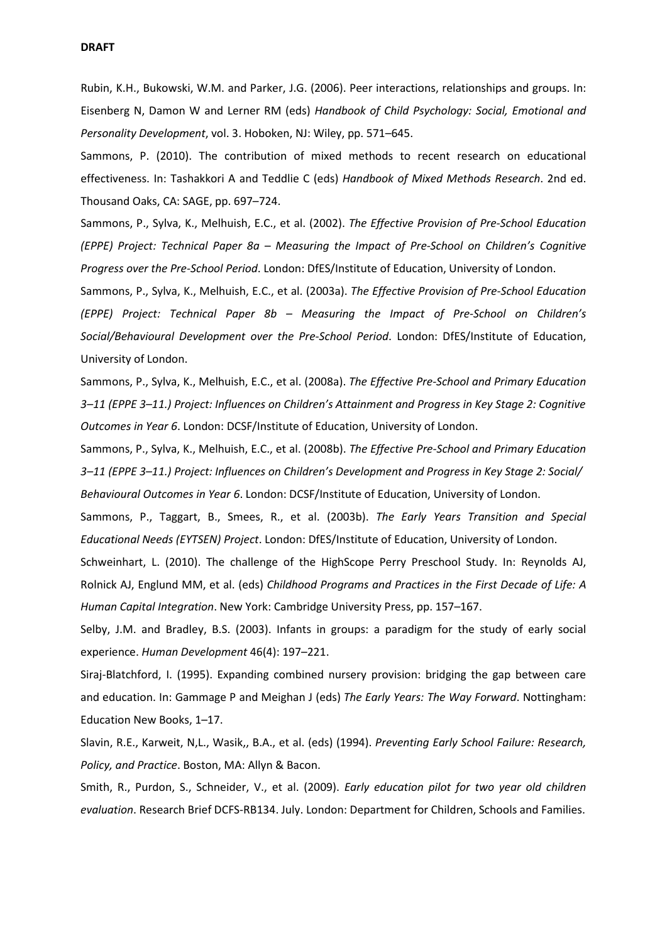Rubin, K.H., Bukowski, W.M. and Parker, J.G. (2006). Peer interactions, relationships and groups. In: Eisenberg N, Damon W and Lerner RM (eds) *Handbook of Child Psychology: Social, Emotional and Personality Development*, vol. 3. Hoboken, NJ: Wiley, pp. 571–645.

Sammons, P. (2010). The contribution of mixed methods to recent research on educational effectiveness. In: Tashakkori A and Teddlie C (eds) *Handbook of Mixed Methods Research*. 2nd ed. Thousand Oaks, CA: SAGE, pp. 697–724.

Sammons, P., Sylva, K., Melhuish, E.C., et al. (2002). *The Effective Provision of Pre-School Education (EPPE) Project: Technical Paper 8a – Measuring the Impact of Pre-School on Children's Cognitive Progress over the Pre-School Period*. London: DfES/Institute of Education, University of London.

Sammons, P., Sylva, K., Melhuish, E.C., et al. (2003a). *The Effective Provision of Pre-School Education (EPPE) Project: Technical Paper 8b – Measuring the Impact of Pre-School on Children's Social/Behavioural Development over the Pre-School Period*. London: DfES/Institute of Education, University of London.

Sammons, P., Sylva, K., Melhuish, E.C., et al. (2008a). *The Effective Pre-School and Primary Education 3–11 (EPPE 3–11.) Project: Influences on Children's Attainment and Progress in Key Stage 2: Cognitive Outcomes in Year 6*. London: DCSF/Institute of Education, University of London.

Sammons, P., Sylva, K., Melhuish, E.C., et al. (2008b). *The Effective Pre-School and Primary Education 3–11 (EPPE 3–11.) Project: Influences on Children's Development and Progress in Key Stage 2: Social/ Behavioural Outcomes in Year 6*. London: DCSF/Institute of Education, University of London.

Sammons, P., Taggart, B., Smees, R., et al. (2003b). *The Early Years Transition and Special Educational Needs (EYTSEN) Project*. London: DfES/Institute of Education, University of London.

Schweinhart, L. (2010). The challenge of the HighScope Perry Preschool Study. In: Reynolds AJ, Rolnick AJ, Englund MM, et al. (eds) *Childhood Programs and Practices in the First Decade of Life: A Human Capital Integration*. New York: Cambridge University Press, pp. 157–167.

Selby, J.M. and Bradley, B.S. (2003). Infants in groups: a paradigm for the study of early social experience. *Human Development* 46(4): 197–221.

Siraj-Blatchford, I. (1995). Expanding combined nursery provision: bridging the gap between care and education. In: Gammage P and Meighan J (eds) *The Early Years: The Way Forward*. Nottingham: Education New Books, 1–17.

Slavin, R.E., Karweit, N,L., Wasik,, B.A., et al. (eds) (1994). *Preventing Early School Failure: Research, Policy, and Practice*. Boston, MA: Allyn & Bacon.

Smith, R., Purdon, S., Schneider, V., et al. (2009). *Early education pilot for two year old children evaluation*. Research Brief DCFS-RB134. July. London: Department for Children, Schools and Families.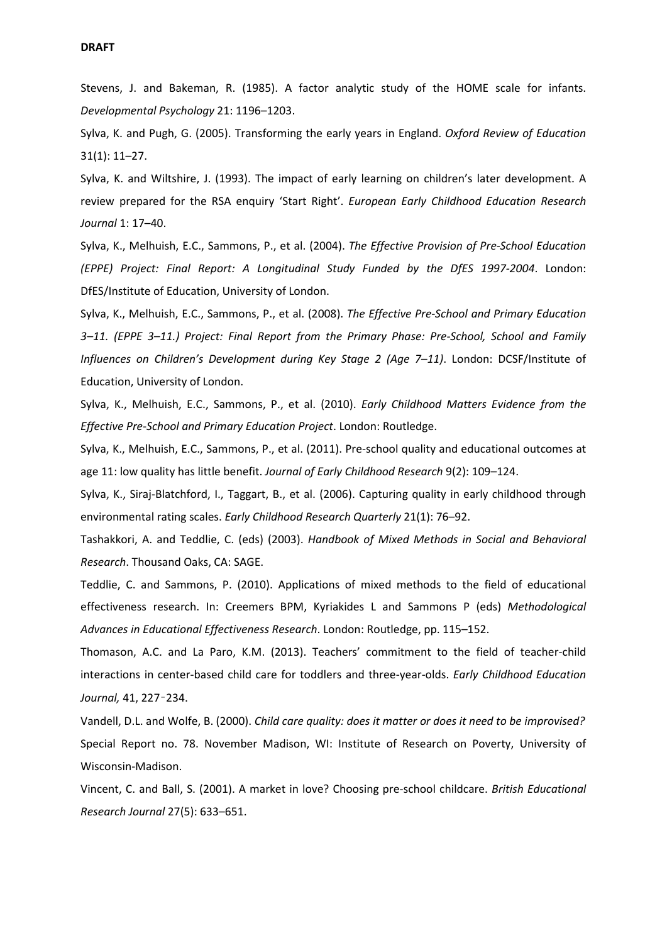Stevens, J. and Bakeman, R. (1985). A factor analytic study of the HOME scale for infants. *Developmental Psychology* 21: 1196–1203.

Sylva, K. and Pugh, G. (2005). Transforming the early years in England. *Oxford Review of Education*  31(1): 11–27.

Sylva, K. and Wiltshire, J. (1993). The impact of early learning on children's later development. A review prepared for the RSA enquiry 'Start Right'. *European Early Childhood Education Research Journal* 1: 17–40.

Sylva, K., Melhuish, E.C., Sammons, P., et al. (2004). *The Effective Provision of Pre-School Education (EPPE) Project: Final Report: A Longitudinal Study Funded by the DfES 1997-2004*. London: DfES/Institute of Education, University of London.

Sylva, K., Melhuish, E.C., Sammons, P., et al. (2008). *The Effective Pre-School and Primary Education 3–11. (EPPE 3–11.) Project: Final Report from the Primary Phase: Pre-School, School and Family Influences on Children's Development during Key Stage 2 (Age 7–11)*. London: DCSF/Institute of Education, University of London.

Sylva, K., Melhuish, E.C., Sammons, P., et al. (2010). *Early Childhood Matters Evidence from the Effective Pre-School and Primary Education Project*. London: Routledge.

Sylva, K., Melhuish, E.C., Sammons, P., et al. (2011). Pre-school quality and educational outcomes at age 11: low quality has little benefit. *Journal of Early Childhood Research* 9(2): 109–124.

Sylva, K., Siraj-Blatchford, I., Taggart, B., et al. (2006). Capturing quality in early childhood through environmental rating scales. *Early Childhood Research Quarterly* 21(1): 76–92.

Tashakkori, A. and Teddlie, C. (eds) (2003). *Handbook of Mixed Methods in Social and Behavioral Research*. Thousand Oaks, CA: SAGE.

Teddlie, C. and Sammons, P. (2010). Applications of mixed methods to the field of educational effectiveness research. In: Creemers BPM, Kyriakides L and Sammons P (eds) *Methodological Advances in Educational Effectiveness Research*. London: Routledge, pp. 115–152.

Thomason, A.C. and La Paro, K.M. (2013). Teachers' commitment to the field of teacher-child interactions in center-based child care for toddlers and three-year-olds. *Early Childhood Education Journal,* 41, 227–234.

Vandell, D.L. and Wolfe, B. (2000). *Child care quality: does it matter or does it need to be improvised?* Special Report no. 78. November Madison, WI: Institute of Research on Poverty, University of Wisconsin-Madison.

Vincent, C. and Ball, S. (2001). A market in love? Choosing pre-school childcare. *British Educational Research Journal* 27(5): 633–651.